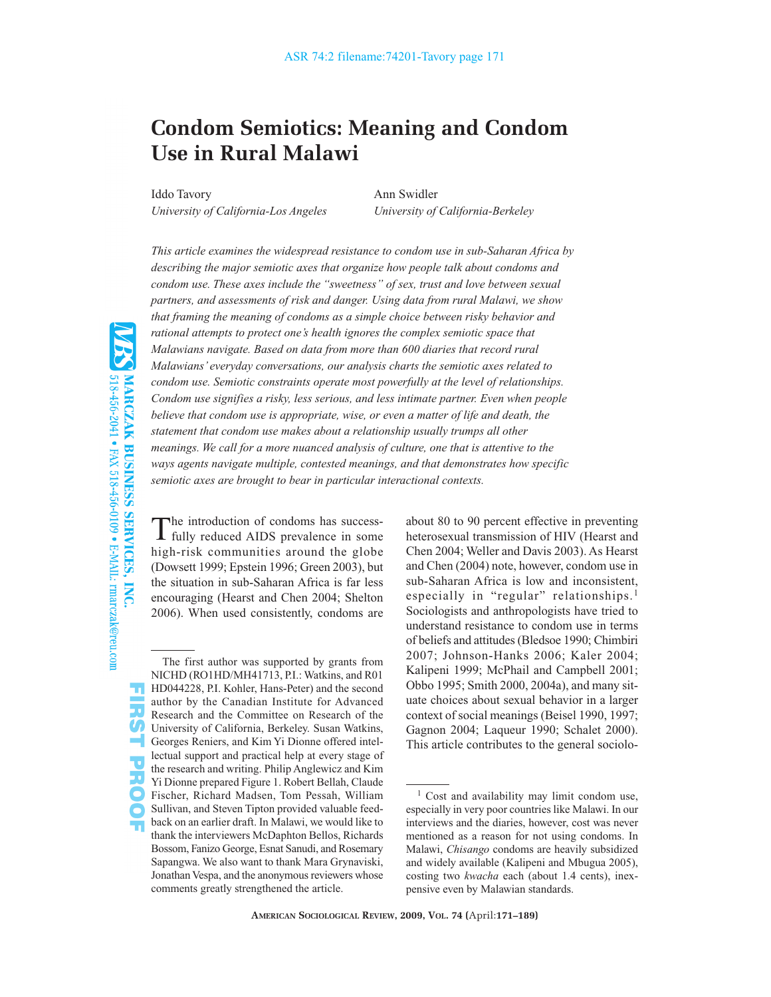# **Condom Semiotics: Meaning and Condom Use in Rural Malawi**

Iddo Tavory **Ann Swidler** *University of California-Los Angeles University of California-Berkeley*

*This article examines the widespread resistance to condom use in sub-Saharan Africa by describing the major semiotic axes that organize how people talk about condoms and condom use. These axes include the "sweetness" of sex, trust and love between sexual partners, and assessments of risk and danger. Using data from rural Malawi, we show that framing the meaning of condoms as a simple choice between risky behavior and rational attempts to protect one's health ignores the complex semiotic space that Malawians navigate. Based on data from more than 600 diaries that record rural Malawians' everyday conversations, our analysis charts the semiotic axes related to condom use. Semiotic constraints operate most powerfully at the level of relationships. Condom use signifies a risky, less serious, and less intimate partner. Even when people believe that condom use is appropriate, wise, or even a matter of life and death, the statement that condom use makes about a relationship usually trumps all other meanings. We call for a more nuanced analysis of culture, one that is attentive to the ways agents navigate multiple, contested meanings, and that demonstrates how specific semiotic axes are brought to bear in particular interactional contexts.*

The introduction of condoms has success-fully reduced AIDS prevalence in some high-risk communities around the globe (Dowsett 1999; Epstein 1996; Green 2003), but the situation in sub-Saharan Africa is far less encouraging (Hearst and Chen 2004; Shelton 2006). When used consistently, condoms are

The first author was supported by grants from NICHD (RO1HD/MH41713, P.I.: Watkins, and R01 **HD044228, P.I. Kohler, Hans-Peter) and the second** author by the Canadian Institute for Advanced Research and the Committee on Research of the University of California, Berkeley. Susan Watkins, Georges Reniers, and Kim Yi Dionne offered intellectual support and practical help at every stage of the research and writing. Philip Anglewicz and Kim Yi Dionne prepared Figure 1. Robert Bellah, Claude Fischer, Richard Madsen, Tom Pessah, William Sullivan, and Steven Tipton provided valuable feedback on an earlier draft. In Malawi, we would like to thank the interviewers McDaphton Bellos, Richards Bossom, Fanizo George, Esnat Sanudi, and Rosemary Sapangwa. We also want to thank Mara Grynaviski, Jonathan Vespa, and the anonymous reviewers whose comments greatly strengthened the article.

about 80 to 90 percent effective in preventing heterosexual transmission of HIV (Hearst and Chen 2004; Weller and Davis 2003). As Hearst and Chen (2004) note, however, condom use in sub-Saharan Africa is low and inconsistent, especially in "regular" relationships.<sup>1</sup> Sociologists and anthropologists have tried to understand resistance to condom use in terms of beliefs and attitudes (Bledsoe 1990; Chimbiri 2007; Johnson-Hanks 2006; Kaler 2004; Kalipeni 1999; McPhail and Campbell 2001; Obbo 1995; Smith 2000, 2004a), and many situate choices about sexual behavior in a larger context of social meanings (Beisel 1990, 1997; Gagnon 2004; Laqueur 1990; Schalet 2000). This article contributes to the general sociolo-

<sup>&</sup>lt;sup>1</sup> Cost and availability may limit condom use, especially in very poor countries like Malawi. In our interviews and the diaries, however, cost was never mentioned as a reason for not using condoms. In Malawi, *Chisango* condoms are heavily subsidized and widely available (Kalipeni and Mbugua 2005), costing two *kwacha* each (about 1.4 cents), inexpensive even by Malawian standards.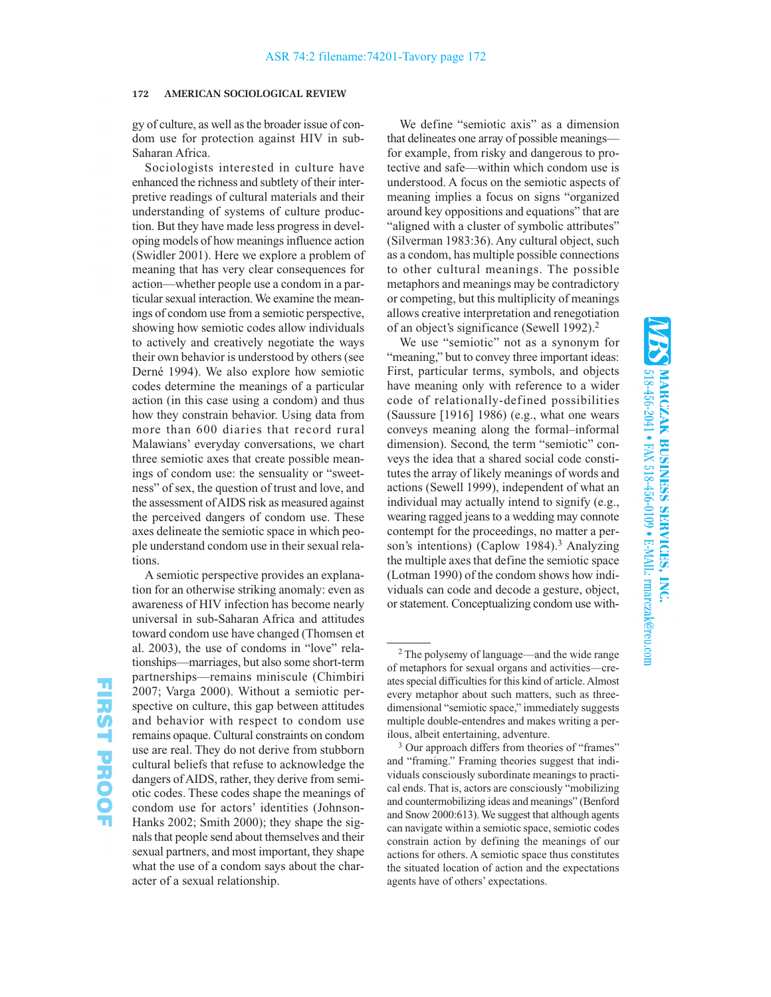gy of culture, as well as the broader issue of condom use for protection against HIV in sub-Saharan Africa.

Sociologists interested in culture have enhanced the richness and subtlety of their interpretive readings of cultural materials and their understanding of systems of culture production. But they have made less progress in developing models of how meanings influence action (Swidler 2001). Here we explore a problem of meaning that has very clear consequences for action—whether people use a condom in a particular sexual interaction. We examine the meanings of condom use from a semiotic perspective, showing how semiotic codes allow individuals to actively and creatively negotiate the ways their own behavior is understood by others (see Derné 1994). We also explore how semiotic codes determine the meanings of a particular action (in this case using a condom) and thus how they constrain behavior. Using data from more than 600 diaries that record rural Malawians' everyday conversations, we chart three semiotic axes that create possible meanings of condom use: the sensuality or "sweetness" of sex, the question of trust and love, and the assessment of AIDS risk as measured against the perceived dangers of condom use. These axes delineate the semiotic space in which people understand condom use in their sexual relations.

A semiotic perspective provides an explanation for an otherwise striking anomaly: even as awareness of HIV infection has become nearly universal in sub-Saharan Africa and attitudes toward condom use have changed (Thomsen et al. 2003), the use of condoms in "love" relationships—marriages, but also some short-term partnerships—remains miniscule (Chimbiri 2007; Varga 2000). Without a semiotic perspective on culture, this gap between attitudes and behavior with respect to condom use remains opaque. Cultural constraints on condom use are real. They do not derive from stubborn cultural beliefs that refuse to acknowledge the dangers of AIDS, rather, they derive from semiotic codes. These codes shape the meanings of condom use for actors' identities (Johnson-Hanks 2002; Smith 2000); they shape the signals that people send about themselves and their sexual partners, and most important, they shape what the use of a condom says about the character of a sexual relationship.

We define "semiotic axis" as a dimension that delineates one array of possible meanings for example, from risky and dangerous to protective and safe—within which condom use is understood. A focus on the semiotic aspects of meaning implies a focus on signs "organized around key oppositions and equations" that are "aligned with a cluster of symbolic attributes" (Silverman 1983:36). Any cultural object, such as a condom, has multiple possible connections to other cultural meanings. The possible metaphors and meanings may be contradictory or competing, but this multiplicity of meanings allows creative interpretation and renegotiation of an object's significance (Sewell 1992).<sup>2</sup>

We use "semiotic" not as a synonym for "meaning," but to convey three important ideas: First, particular terms, symbols, and objects have meaning only with reference to a wider code of relationally-defined possibilities (Saussure [1916] 1986) (e.g., what one wears conveys meaning along the formal–informal dimension). Second, the term "semiotic" conveys the idea that a shared social code constitutes the array of likely meanings of words and actions (Sewell 1999), independent of what an individual may actually intend to signify (e.g., wearing ragged jeans to a wedding may connote contempt for the proceedings, no matter a person's intentions) (Caplow 1984).<sup>3</sup> Analyzing the multiple axes that define the semiotic space (Lotman 1990) of the condom shows how individuals can code and decode a gesture, object, or statement. Conceptualizing condom use with-

<sup>3</sup> Our approach differs from theories of "frames" and "framing." Framing theories suggest that individuals consciously subordinate meanings to practical ends. That is, actors are consciously "mobilizing and countermobilizing ideas and meanings" (Benford and Snow 2000:613). We suggest that although agents can navigate within a semiotic space, semiotic codes constrain action by defining the meanings of our actions for others. A semiotic space thus constitutes the situated location of action and the expectations agents have of others' expectations.

518-456-2041 • FAX 518-456-0109 • E-MAII. rmarczak@reu.com

<sup>2</sup> The polysemy of language—and the wide range of metaphors for sexual organs and activities—creates special difficulties for this kind of article. Almost every metaphor about such matters, such as threedimensional "semiotic space," immediately suggests multiple double-entendres and makes writing a perilous, albeit entertaining, adventure.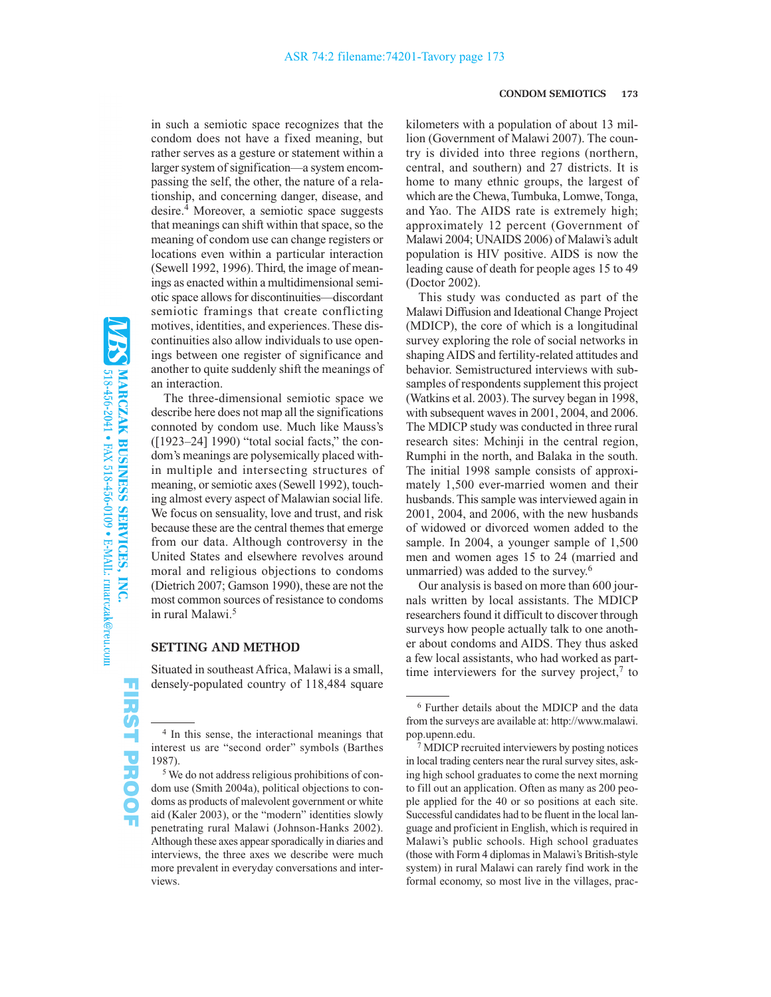in such a semiotic space recognizes that the condom does not have a fixed meaning, but rather serves as a gesture or statement within a larger system of signification—a system encompassing the self, the other, the nature of a relationship, and concerning danger, disease, and desire.<sup>4</sup> Moreover, a semiotic space suggests that meanings can shift within that space, so the meaning of condom use can change registers or locations even within a particular interaction (Sewell 1992, 1996). Third, the image of meanings as enacted within a multidimensional semiotic space allows for discontinuities—discordant semiotic framings that create conflicting motives, identities, and experiences. These discontinuities also allow individuals to use openings between one register of significance and another to quite suddenly shift the meanings of an interaction.

The three-dimensional semiotic space we describe here does not map all the significations connoted by condom use. Much like Mauss's  $(1923-24)$  1990) "total social facts," the condom's meanings are polysemically placed within multiple and intersecting structures of meaning, or semiotic axes (Sewell 1992), touching almost every aspect of Malawian social life. We focus on sensuality, love and trust, and risk because these are the central themes that emerge from our data. Although controversy in the United States and elsewhere revolves around moral and religious objections to condoms (Dietrich 2007; Gamson 1990), these are not the most common sources of resistance to condoms in rural Malawi.5

## **SETTING AND METHOD**

Situated in southeast Africa, Malawi is a small, densely-populated country of 118,484 square kilometers with a population of about 13 million (Government of Malawi 2007). The country is divided into three regions (northern, central, and southern) and 27 districts. It is home to many ethnic groups, the largest of which are the Chewa, Tumbuka, Lomwe, Tonga, and Yao. The AIDS rate is extremely high; approximately 12 percent (Government of Malawi 2004; UNAIDS 2006) of Malawi's adult population is HIV positive. AIDS is now the leading cause of death for people ages 15 to 49 (Doctor 2002).

This study was conducted as part of the Malawi Diffusion and Ideational Change Project (MDICP), the core of which is a longitudinal survey exploring the role of social networks in shaping AIDS and fertility-related attitudes and behavior. Semistructured interviews with subsamples of respondents supplement this project (Watkins et al. 2003). The survey began in 1998, with subsequent waves in 2001, 2004, and 2006. The MDICP study was conducted in three rural research sites: Mchinji in the central region, Rumphi in the north, and Balaka in the south. The initial 1998 sample consists of approximately 1,500 ever-married women and their husbands. This sample was interviewed again in 2001, 2004, and 2006, with the new husbands of widowed or divorced women added to the sample. In 2004, a younger sample of 1,500 men and women ages 15 to 24 (married and unmarried) was added to the survey.6

Our analysis is based on more than 600 journals written by local assistants. The MDICP researchers found it difficult to discover through surveys how people actually talk to one another about condoms and AIDS. They thus asked a few local assistants, who had worked as parttime interviewers for the survey project, $\frac{7}{1}$  to

<sup>4</sup> In this sense, the interactional meanings that interest us are "second order" symbols (Barthes 1987).

<sup>5</sup> We do not address religious prohibitions of condom use (Smith 2004a), political objections to condoms as products of malevolent government or white aid (Kaler 2003), or the "modern" identities slowly penetrating rural Malawi (Johnson-Hanks 2002). Although these axes appear sporadically in diaries and interviews, the three axes we describe were much more prevalent in everyday conversations and interviews.

<sup>6</sup> Further details about the MDICP and the data from the surveys are available at: http://www.malawi. pop.upenn.edu.

<sup>7</sup> MDICP recruited interviewers by posting notices in local trading centers near the rural survey sites, asking high school graduates to come the next morning to fill out an application. Often as many as 200 people applied for the 40 or so positions at each site. Successful candidates had to be fluent in the local language and proficient in English, which is required in Malawi's public schools. High school graduates (those with Form 4 diplomas in Malawi's British-style system) in rural Malawi can rarely find work in the formal economy, so most live in the villages, prac-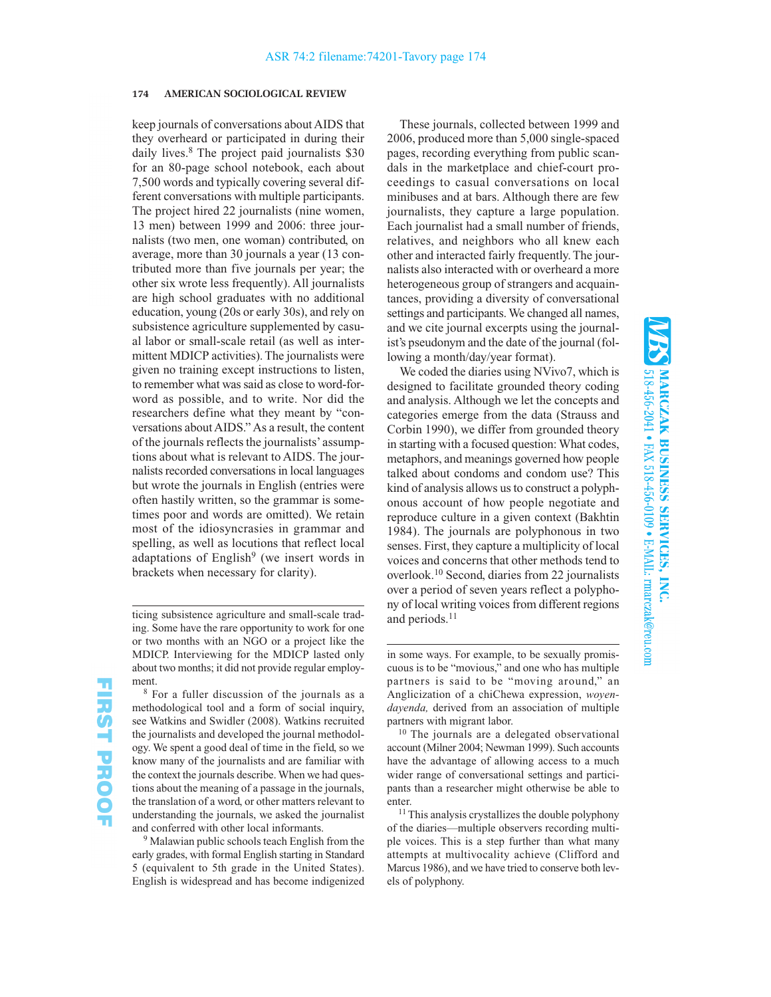keep journals of conversations about AIDS that they overheard or participated in during their daily lives.<sup>8</sup> The project paid journalists \$30 for an 80-page school notebook, each about 7,500 words and typically covering several different conversations with multiple participants. The project hired 22 journalists (nine women, 13 men) between 1999 and 2006: three journalists (two men, one woman) contributed, on average, more than 30 journals a year (13 contributed more than five journals per year; the other six wrote less frequently). All journalists are high school graduates with no additional education, young (20s or early 30s), and rely on subsistence agriculture supplemented by casual labor or small-scale retail (as well as intermittent MDICP activities). The journalists were given no training except instructions to listen, to remember what was said as close to word-forword as possible, and to write. Nor did the researchers define what they meant by "conversations about AIDS." As a result, the content of the journals reflects the journalists' assumptions about what is relevant to AIDS. The journalists recorded conversations in local languages but wrote the journals in English (entries were often hastily written, so the grammar is sometimes poor and words are omitted). We retain most of the idiosyncrasies in grammar and spelling, as well as locutions that reflect local adaptations of English<sup>9</sup> (we insert words in brackets when necessary for clarity).

**RSH PRODE** 

<sup>8</sup> For a fuller discussion of the journals as a methodological tool and a form of social inquiry, see Watkins and Swidler (2008). Watkins recruited the journalists and developed the journal methodology. We spent a good deal of time in the field, so we know many of the journalists and are familiar with the context the journals describe. When we had questions about the meaning of a passage in the journals, the translation of a word, or other matters relevant to understanding the journals, we asked the journalist and conferred with other local informants.

<sup>9</sup> Malawian public schools teach English from the early grades, with formal English starting in Standard 5 (equivalent to 5th grade in the United States). English is widespread and has become indigenized

These journals, collected between 1999 and 2006, produced more than 5,000 single-spaced pages, recording everything from public scandals in the marketplace and chief-court proceedings to casual conversations on local minibuses and at bars. Although there are few journalists, they capture a large population. Each journalist had a small number of friends, relatives, and neighbors who all knew each other and interacted fairly frequently. The journalists also interacted with or overheard a more heterogeneous group of strangers and acquaintances, providing a diversity of conversational settings and participants. We changed all names, and we cite journal excerpts using the journalist's pseudonym and the date of the journal (following a month/day/year format).

We coded the diaries using NVivo7, which is designed to facilitate grounded theory coding and analysis. Although we let the concepts and categories emerge from the data (Strauss and Corbin 1990), we differ from grounded theory in starting with a focused question: What codes, metaphors, and meanings governed how people talked about condoms and condom use? This kind of analysis allows us to construct a polyphonous account of how people negotiate and reproduce culture in a given context (Bakhtin 1984). The journals are polyphonous in two senses. First, they capture a multiplicity of local voices and concerns that other methods tend to overlook.<sup>10</sup> Second, diaries from 22 journalists over a period of seven years reflect a polyphony of local writing voices from different regions and periods.<sup>11</sup>

in some ways. For example, to be sexually promiscuous is to be "movious," and one who has multiple partners is said to be "moving around," an Anglicization of a chiChewa expression, *woyendayenda,* derived from an association of multiple partners with migrant labor.

<sup>10</sup> The journals are a delegated observational account (Milner 2004; Newman 1999). Such accounts have the advantage of allowing access to a much wider range of conversational settings and participants than a researcher might otherwise be able to enter.

<sup>11</sup> This analysis crystallizes the double polyphony of the diaries—multiple observers recording multiple voices. This is a step further than what many attempts at multivocality achieve (Clifford and Marcus 1986), and we have tried to conserve both levels of polyphony.

ticing subsistence agriculture and small-scale trading. Some have the rare opportunity to work for one or two months with an NGO or a project like the MDICP. Interviewing for the MDICP lasted only about two months; it did not provide regular employment.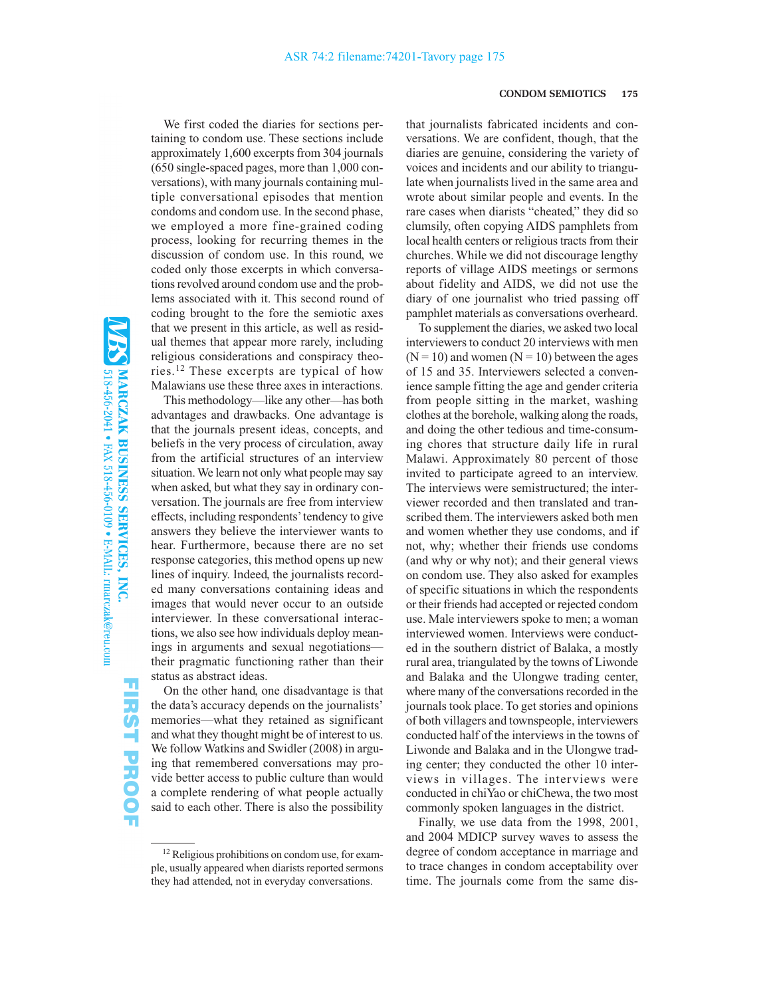$518-456-2041$  • FAX 518-456-0109 • E-MAIL: rmarczak@reu.com **MARCZAK BUSINESS SERVICES,** . INC.

We first coded the diaries for sections pertaining to condom use. These sections include approximately 1,600 excerpts from 304 journals (650 single-spaced pages, more than 1,000 conversations), with many journals containing multiple conversational episodes that mention condoms and condom use. In the second phase, we employed a more fine-grained coding process, looking for recurring themes in the discussion of condom use. In this round, we coded only those excerpts in which conversations revolved around condom use and the problems associated with it. This second round of coding brought to the fore the semiotic axes that we present in this article, as well as residual themes that appear more rarely, including religious considerations and conspiracy theories.<sup>12</sup> These excerpts are typical of how Malawians use these three axes in interactions.

This methodology—like any other—has both advantages and drawbacks. One advantage is that the journals present ideas, concepts, and beliefs in the very process of circulation, away from the artificial structures of an interview situation. We learn not only what people may say when asked, but what they say in ordinary conversation. The journals are free from interview effects, including respondents'tendency to give answers they believe the interviewer wants to hear. Furthermore, because there are no set response categories, this method opens up new lines of inquiry. Indeed, the journalists recorded many conversations containing ideas and images that would never occur to an outside interviewer. In these conversational interactions, we also see how individuals deploy meanings in arguments and sexual negotiations their pragmatic functioning rather than their status as abstract ideas.

On the other hand, one disadvantage is that the data's accuracy depends on the journalists' memories—what they retained as significant and what they thought might be of interest to us. We follow Watkins and Swidler (2008) in arguing that remembered conversations may provide better access to public culture than would a complete rendering of what people actually said to each other. There is also the possibility

that journalists fabricated incidents and conversations. We are confident, though, that the diaries are genuine, considering the variety of voices and incidents and our ability to triangulate when journalists lived in the same area and wrote about similar people and events. In the rare cases when diarists "cheated," they did so clumsily, often copying AIDS pamphlets from local health centers or religious tracts from their churches. While we did not discourage lengthy reports of village AIDS meetings or sermons about fidelity and AIDS, we did not use the diary of one journalist who tried passing off pamphlet materials as conversations overheard.

To supplement the diaries, we asked two local interviewers to conduct 20 interviews with men  $(N = 10)$  and women  $(N = 10)$  between the ages of 15 and 35. Interviewers selected a convenience sample fitting the age and gender criteria from people sitting in the market, washing clothes at the borehole, walking along the roads, and doing the other tedious and time-consuming chores that structure daily life in rural Malawi. Approximately 80 percent of those invited to participate agreed to an interview. The interviews were semistructured; the interviewer recorded and then translated and transcribed them. The interviewers asked both men and women whether they use condoms, and if not, why; whether their friends use condoms (and why or why not); and their general views on condom use. They also asked for examples of specific situations in which the respondents or their friends had accepted or rejected condom use. Male interviewers spoke to men; a woman interviewed women. Interviews were conducted in the southern district of Balaka, a mostly rural area, triangulated by the towns of Liwonde and Balaka and the Ulongwe trading center, where many of the conversations recorded in the journals took place. To get stories and opinions of both villagers and townspeople, interviewers conducted half of the interviews in the towns of Liwonde and Balaka and in the Ulongwe trading center; they conducted the other 10 interviews in villages. The interviews were conducted in chiYao or chiChewa, the two most commonly spoken languages in the district.

Finally, we use data from the 1998, 2001, and 2004 MDICP survey waves to assess the degree of condom acceptance in marriage and to trace changes in condom acceptability over time. The journals come from the same dis-

<sup>&</sup>lt;sup>12</sup> Religious prohibitions on condom use, for example, usually appeared when diarists reported sermons they had attended, not in everyday conversations.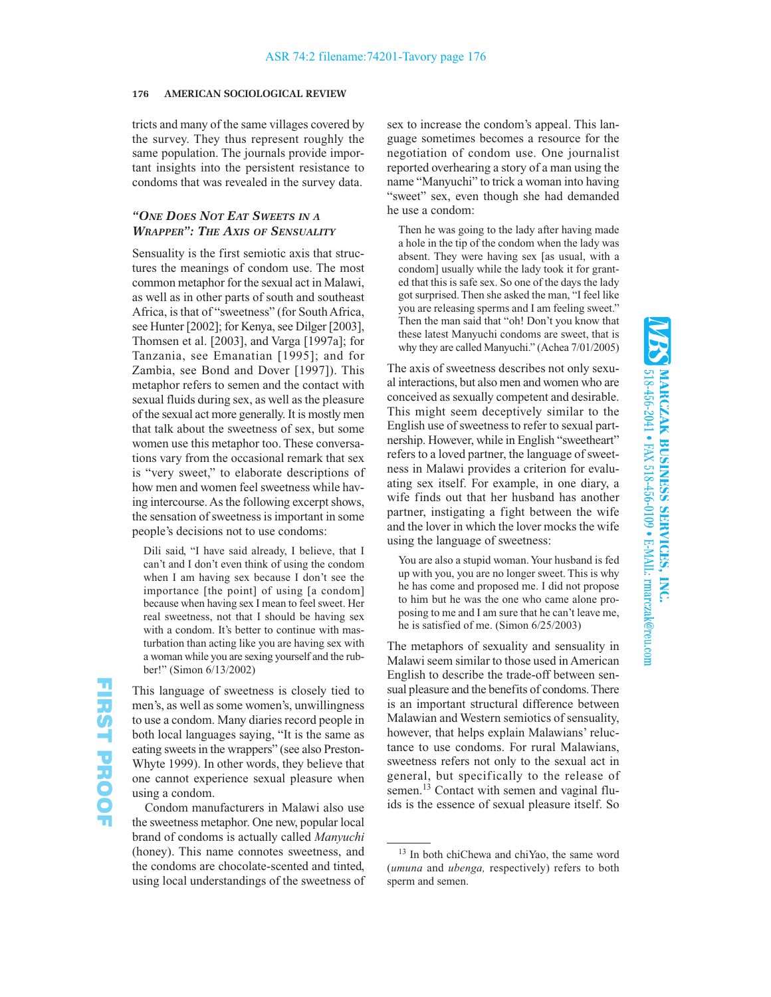tricts and many of the same villages covered by the survey. They thus represent roughly the same population. The journals provide important insights into the persistent resistance to condoms that was revealed in the survey data.

## *"ONE DOES NOT EAT SWEETS IN A WRAPPER": THE AXIS OF SENSUALITY*

Sensuality is the first semiotic axis that structures the meanings of condom use. The most common metaphor for the sexual act in Malawi, as well as in other parts of south and southeast Africa, is that of "sweetness" (for South Africa, see Hunter [2002]; for Kenya, see Dilger [2003], Thomsen et al. [2003], and Varga [1997a]; for Tanzania, see Emanatian [1995]; and for Zambia, see Bond and Dover [1997]). This metaphor refers to semen and the contact with sexual fluids during sex, as well as the pleasure of the sexual act more generally. It is mostly men that talk about the sweetness of sex, but some women use this metaphor too. These conversations vary from the occasional remark that sex is "very sweet," to elaborate descriptions of how men and women feel sweetness while having intercourse. As the following excerpt shows, the sensation of sweetness is important in some people's decisions not to use condoms:

Dili said, "I have said already, I believe, that I can't and I don't even think of using the condom when I am having sex because I don't see the importance [the point] of using [a condom] because when having sex I mean to feel sweet. Her real sweetness, not that I should be having sex with a condom. It's better to continue with masturbation than acting like you are having sex with a woman while you are sexing yourself and the rubber!" (Simon 6/13/2002)

**HIRST PROOF** 

This language of sweetness is closely tied to men's, as well as some women's, unwillingness to use a condom. Many diaries record people in both local languages saying, "It is the same as eating sweets in the wrappers" (see also Preston-Whyte 1999). In other words, they believe that one cannot experience sexual pleasure when using a condom.

Condom manufacturers in Malawi also use the sweetness metaphor. One new, popular local brand of condoms is actually called *Manyuchi* (honey). This name connotes sweetness, and the condoms are chocolate-scented and tinted, using local understandings of the sweetness of sex to increase the condom's appeal. This language sometimes becomes a resource for the negotiation of condom use. One journalist reported overhearing a story of a man using the name "Manyuchi" to trick a woman into having "sweet" sex, even though she had demanded he use a condom:

Then he was going to the lady after having made a hole in the tip of the condom when the lady was absent. They were having sex [as usual, with a condom] usually while the lady took it for granted that this is safe sex. So one of the days the lady got surprised. Then she asked the man, "I feel like you are releasing sperms and I am feeling sweet." Then the man said that "oh! Don't you know that these latest Manyuchi condoms are sweet, that is why they are called Manyuchi." (Achea 7/01/2005)

The axis of sweetness describes not only sexual interactions, but also men and women who are conceived as sexually competent and desirable. This might seem deceptively similar to the English use of sweetness to refer to sexual partnership. However, while in English "sweetheart" refers to a loved partner, the language of sweetness in Malawi provides a criterion for evaluating sex itself. For example, in one diary, a wife finds out that her husband has another partner, instigating a fight between the wife and the lover in which the lover mocks the wife using the language of sweetness:

You are also a stupid woman. Your husband is fed up with you, you are no longer sweet. This is why he has come and proposed me. I did not propose to him but he was the one who came alone proposing to me and I am sure that he can't leave me, he is satisfied of me. (Simon 6/25/2003)

The metaphors of sexuality and sensuality in Malawi seem similar to those used in American English to describe the trade-off between sensual pleasure and the benefits of condoms. There is an important structural difference between Malawian and Western semiotics of sensuality, however, that helps explain Malawians' reluctance to use condoms. For rural Malawians, sweetness refers not only to the sexual act in general, but specifically to the release of semen.<sup>13</sup> Contact with semen and vaginal fluids is the essence of sexual pleasure itself. So

<sup>13</sup> In both chiChewa and chiYao, the same word (*umuna* and *ubenga,* respectively) refers to both sperm and semen.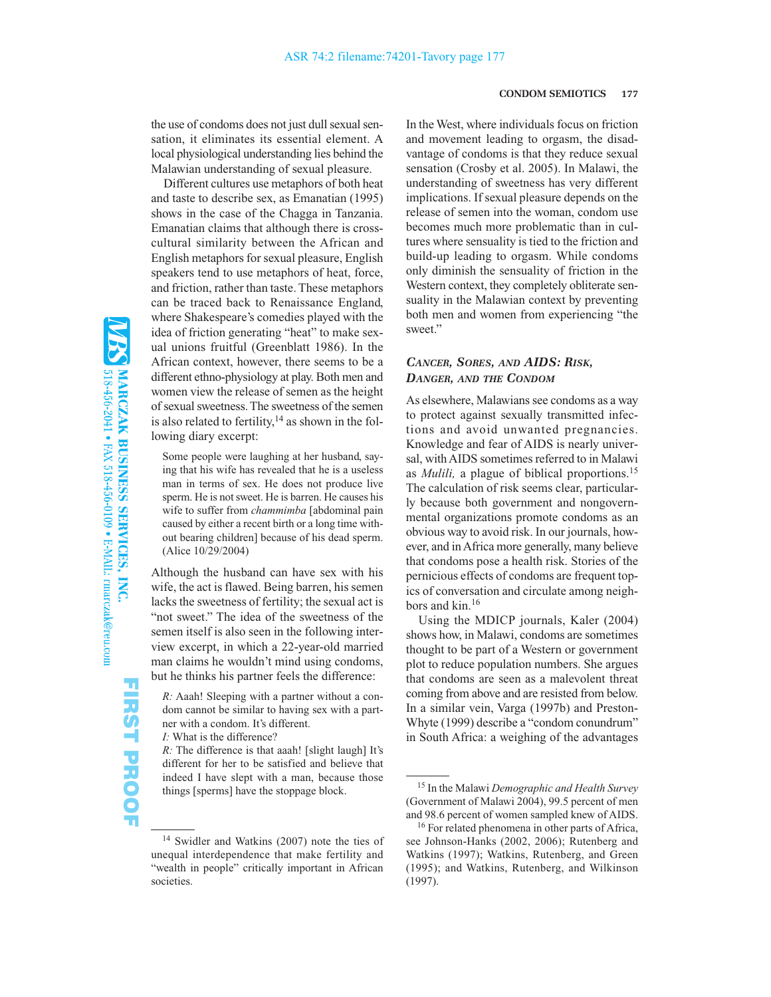the use of condoms does not just dull sexual sensation, it eliminates its essential element. A local physiological understanding lies behind the Malawian understanding of sexual pleasure.

Different cultures use metaphors of both heat and taste to describe sex, as Emanatian (1995) shows in the case of the Chagga in Tanzania. Emanatian claims that although there is crosscultural similarity between the African and English metaphors for sexual pleasure, English speakers tend to use metaphors of heat, force, and friction, rather than taste. These metaphors can be traced back to Renaissance England, where Shakespeare's comedies played with the idea of friction generating "heat" to make sexual unions fruitful (Greenblatt 1986). In the African context, however, there seems to be a different ethno-physiology at play. Both men and women view the release of semen as the height of sexual sweetness. The sweetness of the semen is also related to fertility,  $14$  as shown in the following diary excerpt:

Some people were laughing at her husband, saying that his wife has revealed that he is a useless man in terms of sex. He does not produce live sperm. He is not sweet. He is barren. He causes his wife to suffer from *chammimba* [abdominal pain caused by either a recent birth or a long time without bearing children] because of his dead sperm. (Alice 10/29/2004)

Although the husband can have sex with his wife, the act is flawed. Being barren, his semen lacks the sweetness of fertility; the sexual act is "not sweet." The idea of the sweetness of the semen itself is also seen in the following interview excerpt, in which a 22-year-old married man claims he wouldn't mind using condoms, but he thinks his partner feels the difference:

*R:* Aaah! Sleeping with a partner without a condom cannot be similar to having sex with a partner with a condom. It's different.

*I:* What is the difference?

*R*: The difference is that aaah! [slight laugh] It's different for her to be satisfied and believe that indeed I have slept with a man, because those things [sperms] have the stoppage block.

In the West, where individuals focus on friction and movement leading to orgasm, the disadvantage of condoms is that they reduce sexual sensation (Crosby et al. 2005). In Malawi, the understanding of sweetness has very different implications. If sexual pleasure depends on the release of semen into the woman, condom use becomes much more problematic than in cultures where sensuality is tied to the friction and build-up leading to orgasm. While condoms only diminish the sensuality of friction in the Western context, they completely obliterate sensuality in the Malawian context by preventing both men and women from experiencing "the sweet."

## *CANCER, SORES, AND AIDS: RISK, DANGER, AND THE CONDOM*

As elsewhere, Malawians see condoms as a way to protect against sexually transmitted infections and avoid unwanted pregnancies. Knowledge and fear of AIDS is nearly universal, with AIDS sometimes referred to in Malawi as *Mulili,* a plague of biblical proportions.<sup>15</sup> The calculation of risk seems clear, particularly because both government and nongovernmental organizations promote condoms as an obvious way to avoid risk. In our journals, however, and in Africa more generally, many believe that condoms pose a health risk. Stories of the pernicious effects of condoms are frequent topics of conversation and circulate among neighbors and kin.16

Using the MDICP journals, Kaler (2004) shows how, in Malawi, condoms are sometimes thought to be part of a Western or government plot to reduce population numbers. She argues that condoms are seen as a malevolent threat coming from above and are resisted from below. In a similar vein, Varga (1997b) and Preston-Whyte (1999) describe a "condom conundrum" in South Africa: a weighing of the advantages

**FIRSH PROOF** 

<sup>14</sup> Swidler and Watkins (2007) note the ties of unequal interdependence that make fertility and "wealth in people" critically important in African societies.

<sup>15</sup> In the Malawi *Demographic and Health Survey* (Government of Malawi 2004), 99.5 percent of men and 98.6 percent of women sampled knew of AIDS.

<sup>&</sup>lt;sup>16</sup> For related phenomena in other parts of Africa, see Johnson-Hanks (2002, 2006); Rutenberg and Watkins (1997); Watkins, Rutenberg, and Green (1995); and Watkins, Rutenberg, and Wilkinson (1997).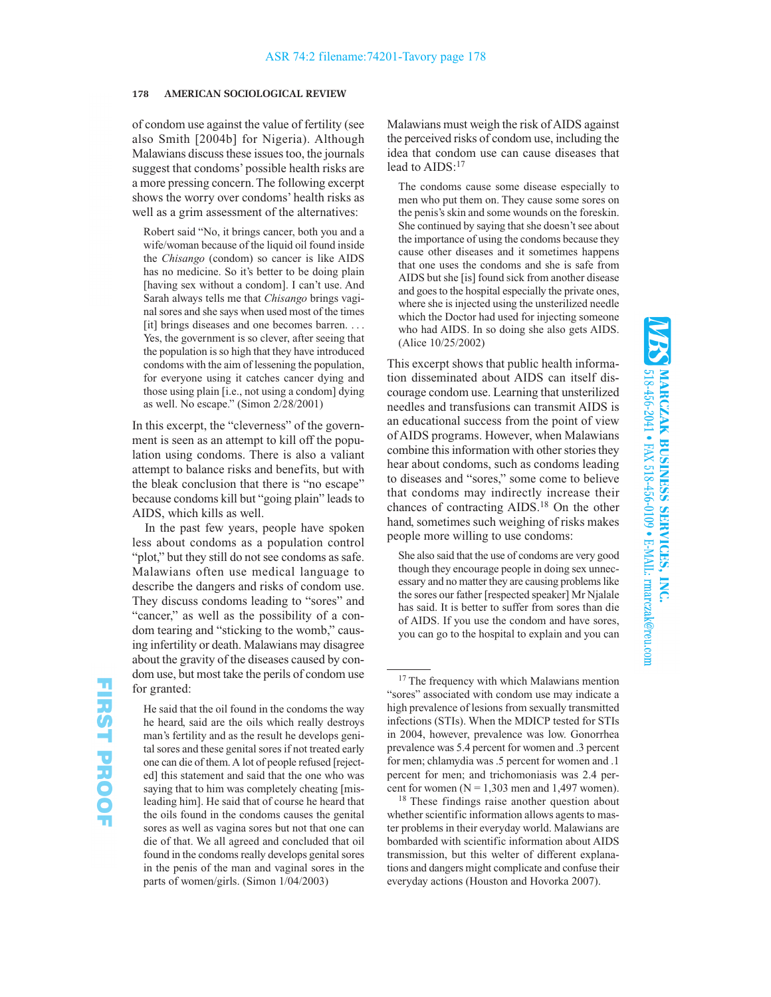of condom use against the value of fertility (see also Smith [2004b] for Nigeria). Although Malawians discuss these issues too, the journals suggest that condoms' possible health risks are a more pressing concern. The following excerpt shows the worry over condoms' health risks as well as a grim assessment of the alternatives:

Robert said "No, it brings cancer, both you and a wife/woman because of the liquid oil found inside the *Chisango* (condom) so cancer is like AIDS has no medicine. So it's better to be doing plain [having sex without a condom]. I can't use. And Sarah always tells me that *Chisango* brings vaginal sores and she says when used most of the times [it] brings diseases and one becomes barren. ... Yes, the government is so clever, after seeing that the population is so high that they have introduced condoms with the aim of lessening the population, for everyone using it catches cancer dying and those using plain [i.e., not using a condom] dying as well. No escape." (Simon 2/28/2001)

In this excerpt, the "cleverness" of the government is seen as an attempt to kill off the population using condoms. There is also a valiant attempt to balance risks and benefits, but with the bleak conclusion that there is "no escape" because condoms kill but "going plain" leads to AIDS, which kills as well.

In the past few years, people have spoken less about condoms as a population control "plot," but they still do not see condoms as safe. Malawians often use medical language to describe the dangers and risks of condom use. They discuss condoms leading to "sores" and "cancer," as well as the possibility of a condom tearing and "sticking to the womb," causing infertility or death. Malawians may disagree about the gravity of the diseases caused by condom use, but most take the perils of condom use for granted:

He said that the oil found in the condoms the way he heard, said are the oils which really destroys man's fertility and as the result he develops genital sores and these genital sores if not treated early one can die of them. A lot of people refused [rejected] this statement and said that the one who was saying that to him was completely cheating [misleading him]. He said that of course he heard that the oils found in the condoms causes the genital sores as well as vagina sores but not that one can die of that. We all agreed and concluded that oil found in the condoms really develops genital sores in the penis of the man and vaginal sores in the parts of women/girls. (Simon 1/04/2003)

Malawians must weigh the risk of AIDS against the perceived risks of condom use, including the idea that condom use can cause diseases that lead to AIDS:<sup>17</sup>

The condoms cause some disease especially to men who put them on. They cause some sores on the penis's skin and some wounds on the foreskin. She continued by saying that she doesn't see about the importance of using the condoms because they cause other diseases and it sometimes happens that one uses the condoms and she is safe from AIDS but she [is] found sick from another disease and goes to the hospital especially the private ones, where she is injected using the unsterilized needle which the Doctor had used for injecting someone who had AIDS. In so doing she also gets AIDS. (Alice 10/25/2002)

This excerpt shows that public health information disseminated about AIDS can itself discourage condom use. Learning that unsterilized needles and transfusions can transmit AIDS is an educational success from the point of view of AIDS programs. However, when Malawians combine this information with other stories they hear about condoms, such as condoms leading to diseases and "sores," some come to believe that condoms may indirectly increase their chances of contracting AIDS.18 On the other hand, sometimes such weighing of risks makes people more willing to use condoms:

She also said that the use of condoms are very good though they encourage people in doing sex unnecessary and no matter they are causing problems like the sores our father [respected speaker] Mr Njalale has said. It is better to suffer from sores than die of AIDS. If you use the condom and have sores, you can go to the hospital to explain and you can

<sup>17</sup> The frequency with which Malawians mention "sores" associated with condom use may indicate a high prevalence of lesions from sexually transmitted infections (STIs). When the MDICP tested for STIs in 2004, however, prevalence was low. Gonorrhea prevalence was 5.4 percent for women and .3 percent for men; chlamydia was .5 percent for women and .1 percent for men; and trichomoniasis was 2.4 percent for women ( $N = 1,303$  men and 1,497 women).

<sup>18</sup> These findings raise another question about whether scientific information allows agents to master problems in their everyday world. Malawians are bombarded with scientific information about AIDS transmission, but this welter of different explanations and dangers might complicate and confuse their everyday actions (Houston and Hovorka 2007).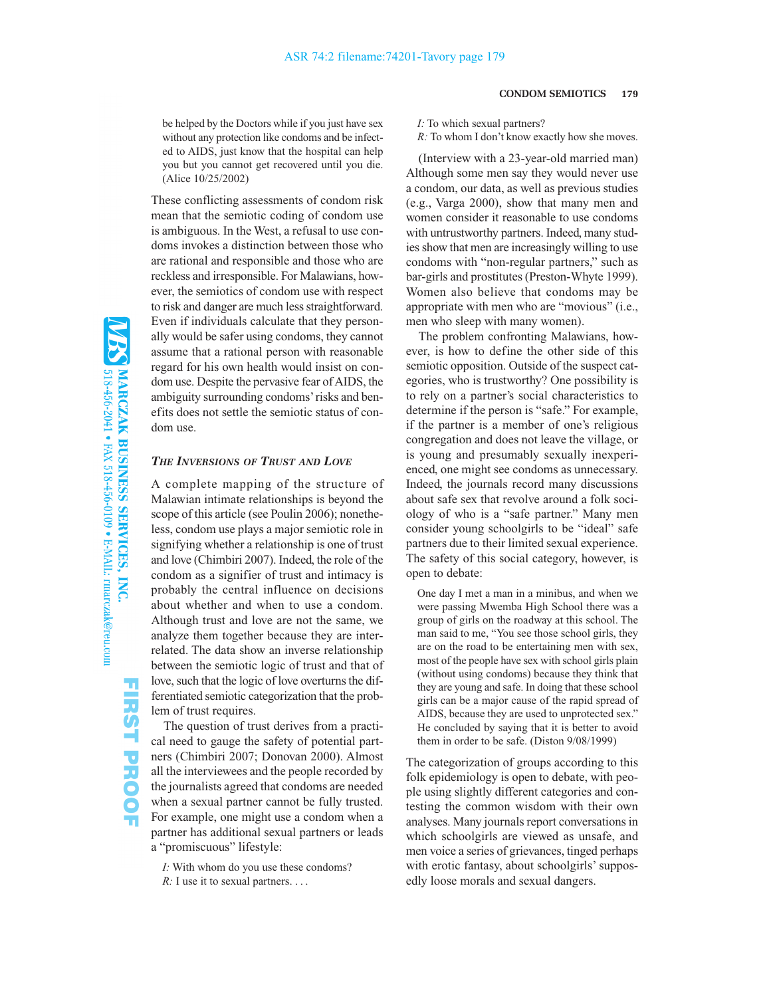These conflicting assessments of condom risk mean that the semiotic coding of condom use is ambiguous. In the West, a refusal to use condoms invokes a distinction between those who are rational and responsible and those who are reckless and irresponsible. For Malawians, however, the semiotics of condom use with respect to risk and danger are much less straightforward. Even if individuals calculate that they personally would be safer using condoms, they cannot assume that a rational person with reasonable regard for his own health would insist on condom use. Despite the pervasive fear of AIDS, the ambiguity surrounding condoms'risks and benefits does not settle the semiotic status of condom use.

## *THE INVERSIONS OF TRUST AND LOVE*

A complete mapping of the structure of Malawian intimate relationships is beyond the scope of this article (see Poulin 2006); nonetheless, condom use plays a major semiotic role in signifying whether a relationship is one of trust and love (Chimbiri 2007). Indeed, the role of the condom as a signifier of trust and intimacy is probably the central influence on decisions about whether and when to use a condom. Although trust and love are not the same, we analyze them together because they are interrelated. The data show an inverse relationship between the semiotic logic of trust and that of love, such that the logic of love overturns the differentiated semiotic categorization that the problem of trust requires.

The question of trust derives from a practical need to gauge the safety of potential partners (Chimbiri 2007; Donovan 2000). Almost all the interviewees and the people recorded by the journalists agreed that condoms are needed when a sexual partner cannot be fully trusted. For example, one might use a condom when a partner has additional sexual partners or leads a "promiscuous" lifestyle:

*I:* With whom do you use these condoms?  $R: I$  use it to sexual partners. ...

## **CONDOM SEMIOTICS—–179**

*I:* To which sexual partners?

*R:* To whom I don't know exactly how she moves.

(Interview with a 23-year-old married man) Although some men say they would never use a condom, our data, as well as previous studies (e.g., Varga 2000), show that many men and women consider it reasonable to use condoms with untrustworthy partners. Indeed, many studies show that men are increasingly willing to use condoms with "non-regular partners," such as bar-girls and prostitutes (Preston-Whyte 1999). Women also believe that condoms may be appropriate with men who are "movious" (i.e., men who sleep with many women).

The problem confronting Malawians, however, is how to define the other side of this semiotic opposition. Outside of the suspect categories, who is trustworthy? One possibility is to rely on a partner's social characteristics to determine if the person is "safe." For example, if the partner is a member of one's religious congregation and does not leave the village, or is young and presumably sexually inexperienced, one might see condoms as unnecessary. Indeed, the journals record many discussions about safe sex that revolve around a folk sociology of who is a "safe partner." Many men consider young schoolgirls to be "ideal" safe partners due to their limited sexual experience. The safety of this social category, however, is open to debate:

One day I met a man in a minibus, and when we were passing Mwemba High School there was a group of girls on the roadway at this school. The man said to me, "You see those school girls, they are on the road to be entertaining men with sex, most of the people have sex with school girls plain (without using condoms) because they think that they are young and safe. In doing that these school girls can be a major cause of the rapid spread of AIDS, because they are used to unprotected sex." He concluded by saying that it is better to avoid them in order to be safe. (Diston 9/08/1999)

The categorization of groups according to this folk epidemiology is open to debate, with people using slightly different categories and contesting the common wisdom with their own analyses. Many journals report conversations in which schoolgirls are viewed as unsafe, and men voice a series of grievances, tinged perhaps with erotic fantasy, about schoolgirls' supposedly loose morals and sexual dangers.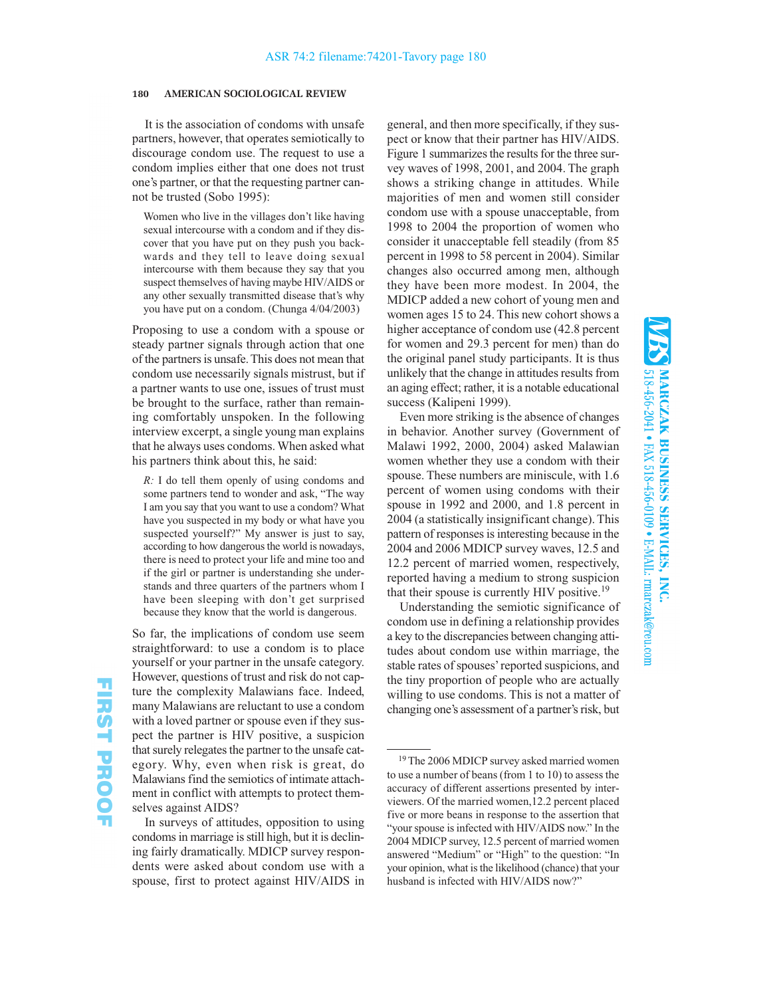It is the association of condoms with unsafe partners, however, that operates semiotically to discourage condom use. The request to use a condom implies either that one does not trust one's partner, or that the requesting partner cannot be trusted (Sobo 1995):

Women who live in the villages don't like having sexual intercourse with a condom and if they discover that you have put on they push you backwards and they tell to leave doing sexual intercourse with them because they say that you suspect themselves of having maybe HIV/AIDS or any other sexually transmitted disease that's why you have put on a condom. (Chunga 4/04/2003)

Proposing to use a condom with a spouse or steady partner signals through action that one of the partners is unsafe. This does not mean that condom use necessarily signals mistrust, but if a partner wants to use one, issues of trust must be brought to the surface, rather than remaining comfortably unspoken. In the following interview excerpt, a single young man explains that he always uses condoms. When asked what his partners think about this, he said:

*R:* I do tell them openly of using condoms and some partners tend to wonder and ask, "The way I am you say that you want to use a condom? What have you suspected in my body or what have you suspected yourself?" My answer is just to say, according to how dangerous the world is nowadays, there is need to protect your life and mine too and if the girl or partner is understanding she understands and three quarters of the partners whom I have been sleeping with don't get surprised because they know that the world is dangerous.

So far, the implications of condom use seem straightforward: to use a condom is to place yourself or your partner in the unsafe category. However, questions of trust and risk do not capture the complexity Malawians face. Indeed, many Malawians are reluctant to use a condom with a loved partner or spouse even if they suspect the partner is HIV positive, a suspicion that surely relegates the partner to the unsafe category. Why, even when risk is great, do Malawians find the semiotics of intimate attachment in conflict with attempts to protect themselves against AIDS?

In surveys of attitudes, opposition to using condoms in marriage is still high, but it is declining fairly dramatically. MDICP survey respondents were asked about condom use with a spouse, first to protect against HIV/AIDS in

general, and then more specifically, if they suspect or know that their partner has HIV/AIDS. Figure 1 summarizes the results for the three survey waves of 1998, 2001, and 2004. The graph shows a striking change in attitudes. While majorities of men and women still consider condom use with a spouse unacceptable, from 1998 to 2004 the proportion of women who consider it unacceptable fell steadily (from 85 percent in 1998 to 58 percent in 2004). Similar changes also occurred among men, although they have been more modest. In 2004, the MDICP added a new cohort of young men and women ages 15 to 24. This new cohort shows a higher acceptance of condom use (42.8 percent for women and 29.3 percent for men) than do the original panel study participants. It is thus unlikely that the change in attitudes results from an aging effect; rather, it is a notable educational success (Kalipeni 1999).

Even more striking is the absence of changes in behavior. Another survey (Government of Malawi 1992, 2000, 2004) asked Malawian women whether they use a condom with their spouse. These numbers are miniscule, with 1.6 percent of women using condoms with their spouse in 1992 and 2000, and 1.8 percent in 2004 (a statistically insignificant change). This pattern of responses is interesting because in the 2004 and 2006 MDICP survey waves, 12.5 and 12.2 percent of married women, respectively, reported having a medium to strong suspicion that their spouse is currently HIV positive.<sup>19</sup>

**MARCZAK BUSINESS SERVICES, INC.<br>518-456-2041 • FAX 518-456-0109 • E-MAIL: rmarczak@reu.com** 

Understanding the semiotic significance of condom use in defining a relationship provides a key to the discrepancies between changing attitudes about condom use within marriage, the stable rates of spouses'reported suspicions, and the tiny proportion of people who are actually willing to use condoms. This is not a matter of changing one's assessment of a partner's risk, but

<sup>&</sup>lt;sup>19</sup>The 2006 MDICP survey asked married women to use a number of beans (from 1 to 10) to assess the accuracy of different assertions presented by interviewers. Of the married women,12.2 percent placed five or more beans in response to the assertion that "your spouse is infected with HIV/AIDS now." In the 2004 MDICP survey, 12.5 percent of married women answered "Medium" or "High" to the question: "In your opinion, what is the likelihood (chance) that your husband is infected with HIV/AIDS now?"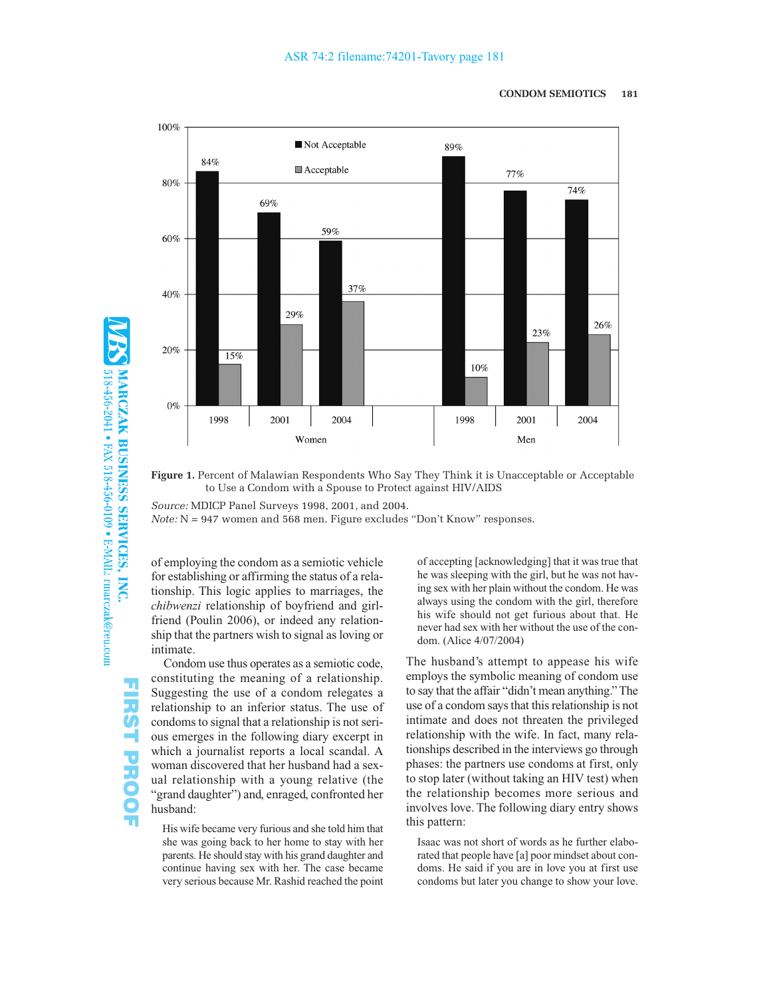

**Figure 1.** Percent of Malawian Respondents Who Say They Think it is Unacceptable or Acceptable to Use a Condom with a Spouse to Protect against HIV/AIDS

*Source:* MDICP Panel Surveys 1998, 2001, and 2004.

*Note:*  $N = 947$  women and 568 men. Figure excludes "Don't Know" responses.

of employing the condom as a semiotic vehicle for establishing or affirming the status of a relationship. This logic applies to marriages, the *chibwenzi* relationship of boyfriend and girlfriend (Poulin 2006), or indeed any relationship that the partners wish to signal as loving or intimate.

Condom use thus operates as a semiotic code, constituting the meaning of a relationship. Suggesting the use of a condom relegates a relationship to an inferior status. The use of condoms to signal that a relationship is not serious emerges in the following diary excerpt in which a journalist reports a local scandal. A woman discovered that her husband had a sexual relationship with a young relative (the "grand daughter") and, enraged, confronted her husband:

His wife became very furious and she told him that she was going back to her home to stay with her parents. He should stay with his grand daughter and continue having sex with her. The case became very serious because Mr. Rashid reached the point of accepting [acknowledging] that it was true that he was sleeping with the girl, but he was not having sex with her plain without the condom. He was always using the condom with the girl, therefore his wife should not get furious about that. He never had sex with her without the use of the condom. (Alice 4/07/2004)

The husband's attempt to appease his wife employs the symbolic meaning of condom use to say that the affair "didn't mean anything." The use of a condom says that this relationship is not intimate and does not threaten the privileged relationship with the wife. In fact, many relationships described in the interviews go through phases: the partners use condoms at first, only to stop later (without taking an HIV test) when the relationship becomes more serious and involves love. The following diary entry shows this pattern:

Isaac was not short of words as he further elaborated that people have [a] poor mindset about condoms. He said if you are in love you at first use condoms but later you change to show your love.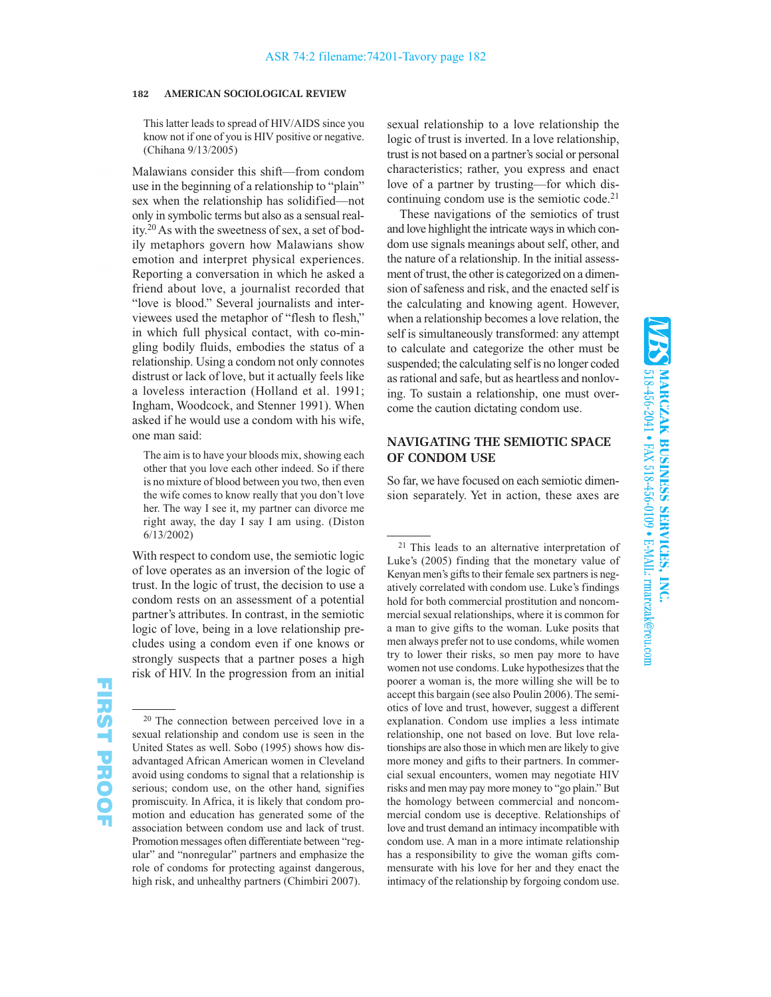This latter leads to spread of HIV/AIDS since you know not if one of you is HIV positive or negative. (Chihana 9/13/2005)

Malawians consider this shift—from condom use in the beginning of a relationship to "plain" sex when the relationship has solidified—not only in symbolic terms but also as a sensual reality.20As with the sweetness of sex, a set of bodily metaphors govern how Malawians show emotion and interpret physical experiences. Reporting a conversation in which he asked a friend about love, a journalist recorded that "love is blood." Several journalists and interviewees used the metaphor of "flesh to flesh," in which full physical contact, with co-mingling bodily fluids, embodies the status of a relationship. Using a condom not only connotes distrust or lack of love, but it actually feels like a loveless interaction (Holland et al. 1991; Ingham, Woodcock, and Stenner 1991). When asked if he would use a condom with his wife, one man said:

The aim is to have your bloods mix, showing each other that you love each other indeed. So if there is no mixture of blood between you two, then even the wife comes to know really that you don't love her. The way I see it, my partner can divorce me right away, the day I say I am using. (Diston 6/13/2002)

With respect to condom use, the semiotic logic of love operates as an inversion of the logic of trust. In the logic of trust, the decision to use a condom rests on an assessment of a potential partner's attributes. In contrast, in the semiotic logic of love, being in a love relationship precludes using a condom even if one knows or strongly suspects that a partner poses a high risk of HIV. In the progression from an initial

<sup>20</sup> The connection between perceived love in a sexual relationship and condom use is seen in the United States as well. Sobo (1995) shows how disadvantaged African American women in Cleveland avoid using condoms to signal that a relationship is serious; condom use, on the other hand, signifies promiscuity. In Africa, it is likely that condom promotion and education has generated some of the association between condom use and lack of trust. Promotion messages often differentiate between "regular" and "nonregular" partners and emphasize the role of condoms for protecting against dangerous, high risk, and unhealthy partners (Chimbiri 2007).

sexual relationship to a love relationship the logic of trust is inverted. In a love relationship, trust is not based on a partner's social or personal characteristics; rather, you express and enact love of a partner by trusting—for which discontinuing condom use is the semiotic code.<sup>21</sup>

These navigations of the semiotics of trust and love highlight the intricate ways in which condom use signals meanings about self, other, and the nature of a relationship. In the initial assessment of trust, the other is categorized on a dimension of safeness and risk, and the enacted self is the calculating and knowing agent. However, when a relationship becomes a love relation, the self is simultaneously transformed: any attempt to calculate and categorize the other must be suspended; the calculating self is no longer coded as rational and safe, but as heartless and nonloving. To sustain a relationship, one must overcome the caution dictating condom use.

# **NAVIGATING THE SEMIOTIC SPACE OF CONDOM USE**

So far, we have focused on each semiotic dimension separately. Yet in action, these axes are

<sup>21</sup> This leads to an alternative interpretation of Luke's (2005) finding that the monetary value of Kenyan men's gifts to their female sex partners is negatively correlated with condom use. Luke's findings hold for both commercial prostitution and noncommercial sexual relationships, where it is common for a man to give gifts to the woman. Luke posits that men always prefer not to use condoms, while women try to lower their risks, so men pay more to have women not use condoms. Luke hypothesizes that the poorer a woman is, the more willing she will be to accept this bargain (see also Poulin 2006). The semiotics of love and trust, however, suggest a different explanation. Condom use implies a less intimate relationship, one not based on love. But love relationships are also those in which men are likely to give more money and gifts to their partners. In commercial sexual encounters, women may negotiate HIV risks and men may pay more money to "go plain." But the homology between commercial and noncommercial condom use is deceptive. Relationships of love and trust demand an intimacy incompatible with condom use. A man in a more intimate relationship has a responsibility to give the woman gifts commensurate with his love for her and they enact the intimacy of the relationship by forgoing condom use.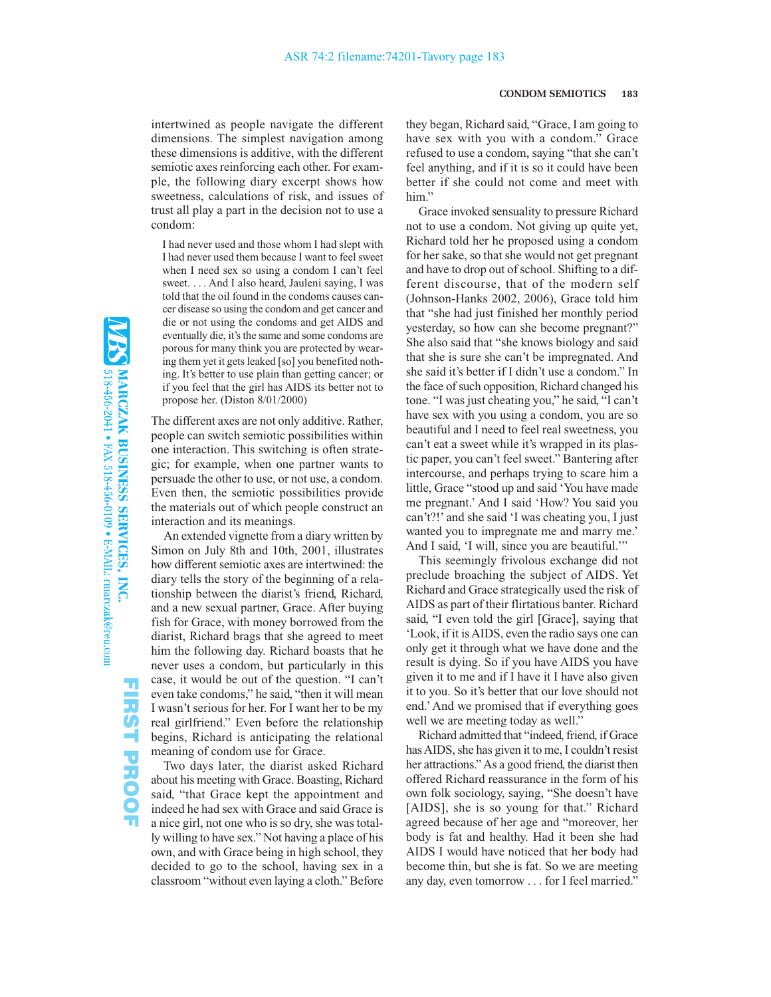intertwined as people navigate the different dimensions. The simplest navigation among these dimensions is additive, with the different semiotic axes reinforcing each other. For example, the following diary excerpt shows how sweetness, calculations of risk, and issues of trust all play a part in the decision not to use a condom:

I had never used and those whom I had slept with I had never used them because I want to feel sweet when I need sex so using a condom I can't feel sweet. ... And I also heard, Jauleni saying, I was told that the oil found in the condoms causes cancer disease so using the condom and get cancer and die or not using the condoms and get AIDS and eventually die, it's the same and some condoms are porous for many think you are protected by wearing them yet it gets leaked [so] you benefited nothing. It's better to use plain than getting cancer; or if you feel that the girl has AIDS its better not to propose her. (Diston 8/01/2000)

The different axes are not only additive. Rather, people can switch semiotic possibilities within one interaction. This switching is often strategic; for example, when one partner wants to persuade the other to use, or not use, a condom. Even then, the semiotic possibilities provide the materials out of which people construct an interaction and its meanings.

An extended vignette from a diary written by Simon on July 8th and 10th, 2001, illustrates how different semiotic axes are intertwined: the diary tells the story of the beginning of a relationship between the diarist's friend, Richard, and a new sexual partner, Grace. After buying fish for Grace, with money borrowed from the diarist, Richard brags that she agreed to meet him the following day. Richard boasts that he never uses a condom, but particularly in this case, it would be out of the question. "I can't even take condoms," he said, "then it will mean I wasn't serious for her. For I want her to be my real girlfriend." Even before the relationship begins, Richard is anticipating the relational meaning of condom use for Grace.

Two days later, the diarist asked Richard about his meeting with Grace. Boasting, Richard said, "that Grace kept the appointment and indeed he had sex with Grace and said Grace is a nice girl, not one who is so dry, she was totally willing to have sex." Not having a place of his own, and with Grace being in high school, they decided to go to the school, having sex in a classroom "without even laying a cloth." Before

they began, Richard said, "Grace, I am going to have sex with you with a condom." Grace refused to use a condom, saying "that she can't feel anything, and if it is so it could have been better if she could not come and meet with him."

Grace invoked sensuality to pressure Richard not to use a condom. Not giving up quite yet, Richard told her he proposed using a condom for her sake, so that she would not get pregnant and have to drop out of school. Shifting to a different discourse, that of the modern self (Johnson-Hanks 2002, 2006), Grace told him that "she had just finished her monthly period yesterday, so how can she become pregnant?" She also said that "she knows biology and said that she is sure she can't be impregnated. And she said it's better if I didn't use a condom." In the face of such opposition, Richard changed his tone. "I was just cheating you," he said, "I can't have sex with you using a condom, you are so beautiful and I need to feel real sweetness, you can't eat a sweet while it's wrapped in its plastic paper, you can't feel sweet." Bantering after intercourse, and perhaps trying to scare him a little, Grace "stood up and said 'You have made me pregnant.' And I said 'How? You said you can't?!' and she said 'I was cheating you, I just wanted you to impregnate me and marry me.' And I said, 'I will, since you are beautiful.'"

This seemingly frivolous exchange did not preclude broaching the subject of AIDS. Yet Richard and Grace strategically used the risk of AIDS as part of their flirtatious banter. Richard said, "I even told the girl [Grace], saying that 'Look, if it is AIDS, even the radio says one can only get it through what we have done and the result is dying. So if you have AIDS you have given it to me and if I have it I have also given it to you. So it's better that our love should not end.' And we promised that if everything goes well we are meeting today as well."

Richard admitted that "indeed, friend, if Grace has AIDS, she has given it to me, I couldn't resist her attractions." As a good friend, the diarist then offered Richard reassurance in the form of his own folk sociology, saying, "She doesn't have [AIDS], she is so young for that." Richard agreed because of her age and "moreover, her body is fat and healthy. Had it been she had AIDS I would have noticed that her body had become thin, but she is fat. So we are meeting any day, even tomorrow . . . for I feel married."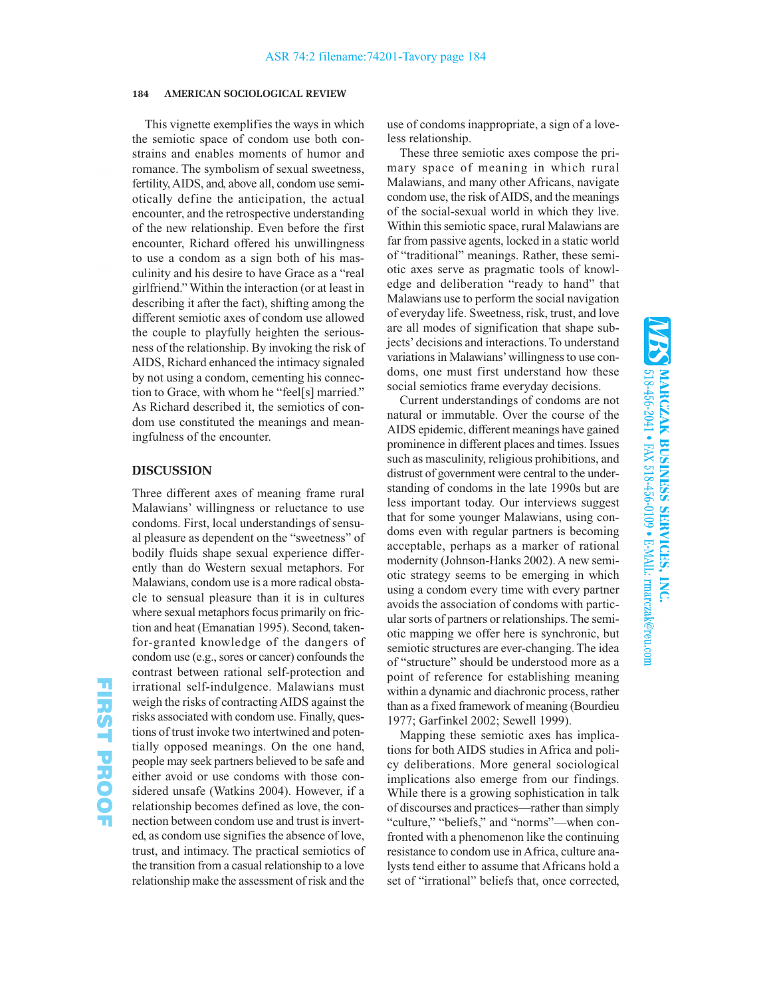This vignette exemplifies the ways in which the semiotic space of condom use both constrains and enables moments of humor and romance. The symbolism of sexual sweetness, fertility, AIDS, and, above all, condom use semiotically define the anticipation, the actual encounter, and the retrospective understanding of the new relationship. Even before the first encounter, Richard offered his unwillingness to use a condom as a sign both of his masculinity and his desire to have Grace as a "real girlfriend." Within the interaction (or at least in describing it after the fact), shifting among the different semiotic axes of condom use allowed the couple to playfully heighten the seriousness of the relationship. By invoking the risk of AIDS, Richard enhanced the intimacy signaled by not using a condom, cementing his connection to Grace, with whom he "feel[s] married." As Richard described it, the semiotics of condom use constituted the meanings and meaningfulness of the encounter.

## **DISCUSSION**

Three different axes of meaning frame rural Malawians' willingness or reluctance to use condoms. First, local understandings of sensual pleasure as dependent on the "sweetness" of bodily fluids shape sexual experience differently than do Western sexual metaphors. For Malawians, condom use is a more radical obstacle to sensual pleasure than it is in cultures where sexual metaphors focus primarily on friction and heat (Emanatian 1995). Second, takenfor-granted knowledge of the dangers of condom use (e.g., sores or cancer) confounds the contrast between rational self-protection and irrational self-indulgence. Malawians must weigh the risks of contracting AIDS against the risks associated with condom use. Finally, questions of trust invoke two intertwined and potentially opposed meanings. On the one hand, people may seek partners believed to be safe and either avoid or use condoms with those considered unsafe (Watkins 2004). However, if a relationship becomes defined as love, the connection between condom use and trust is inverted, as condom use signifies the absence of love, trust, and intimacy. The practical semiotics of the transition from a casual relationship to a love relationship make the assessment of risk and the

use of condoms inappropriate, a sign of a loveless relationship.

These three semiotic axes compose the primary space of meaning in which rural Malawians, and many other Africans, navigate condom use, the risk of AIDS, and the meanings of the social-sexual world in which they live. Within this semiotic space, rural Malawians are far from passive agents, locked in a static world of "traditional" meanings. Rather, these semiotic axes serve as pragmatic tools of knowledge and deliberation "ready to hand" that Malawians use to perform the social navigation of everyday life. Sweetness, risk, trust, and love are all modes of signification that shape subjects'decisions and interactions. To understand variations in Malawians'willingness to use condoms, one must first understand how these social semiotics frame everyday decisions.

Current understandings of condoms are not natural or immutable. Over the course of the AIDS epidemic, different meanings have gained prominence in different places and times. Issues such as masculinity, religious prohibitions, and distrust of government were central to the understanding of condoms in the late 1990s but are less important today. Our interviews suggest that for some younger Malawians, using condoms even with regular partners is becoming acceptable, perhaps as a marker of rational modernity (Johnson-Hanks 2002). A new semiotic strategy seems to be emerging in which using a condom every time with every partner avoids the association of condoms with particular sorts of partners or relationships. The semiotic mapping we offer here is synchronic, but semiotic structures are ever-changing. The idea of "structure" should be understood more as a point of reference for establishing meaning within a dynamic and diachronic process, rather than as a fixed framework of meaning (Bourdieu 1977; Garfinkel 2002; Sewell 1999).

Mapping these semiotic axes has implications for both AIDS studies in Africa and policy deliberations. More general sociological implications also emerge from our findings. While there is a growing sophistication in talk of discourses and practices—rather than simply "culture," "beliefs," and "norms"—when confronted with a phenomenon like the continuing resistance to condom use in Africa, culture analysts tend either to assume that Africans hold a set of "irrational" beliefs that, once corrected,

**HAST PROOF**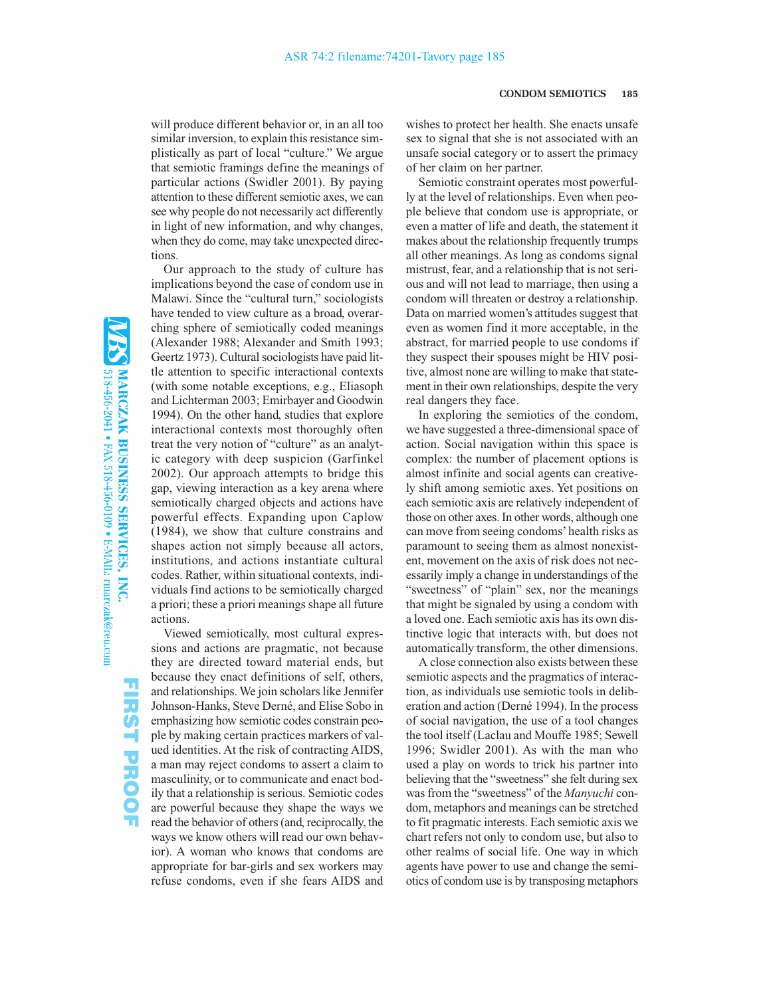will produce different behavior or, in an all too similar inversion, to explain this resistance simplistically as part of local "culture." We argue that semiotic framings define the meanings of particular actions (Swidler 2001). By paying attention to these different semiotic axes, we can see why people do not necessarily act differently in light of new information, and why changes, when they do come, may take unexpected directions.

Our approach to the study of culture has implications beyond the case of condom use in Malawi. Since the "cultural turn," sociologists have tended to view culture as a broad, overarching sphere of semiotically coded meanings (Alexander 1988; Alexander and Smith 1993; Geertz 1973). Cultural sociologists have paid little attention to specific interactional contexts (with some notable exceptions, e.g., Eliasoph and Lichterman 2003; Emirbayer and Goodwin 1994). On the other hand, studies that explore interactional contexts most thoroughly often treat the very notion of "culture" as an analytic category with deep suspicion (Garfinkel 2002). Our approach attempts to bridge this gap, viewing interaction as a key arena where semiotically charged objects and actions have powerful effects. Expanding upon Caplow (1984), we show that culture constrains and shapes action not simply because all actors, institutions, and actions instantiate cultural codes. Rather, within situational contexts, individuals find actions to be semiotically charged a priori; these a priori meanings shape all future actions.

Viewed semiotically, most cultural expressions and actions are pragmatic, not because they are directed toward material ends, but because they enact definitions of self, others, and relationships. We join scholars like Jennifer Johnson-Hanks, Steve Derné, and Elise Sobo in emphasizing how semiotic codes constrain people by making certain practices markers of valued identities. At the risk of contracting AIDS, a man may reject condoms to assert a claim to masculinity, or to communicate and enact bodily that a relationship is serious. Semiotic codes are powerful because they shape the ways we read the behavior of others (and, reciprocally, the ways we know others will read our own behavior). A woman who knows that condoms are appropriate for bar-girls and sex workers may refuse condoms, even if she fears AIDS and wishes to protect her health. She enacts unsafe sex to signal that she is not associated with an unsafe social category or to assert the primacy of her claim on her partner.

Semiotic constraint operates most powerfully at the level of relationships. Even when people believe that condom use is appropriate, or even a matter of life and death, the statement it makes about the relationship frequently trumps all other meanings. As long as condoms signal mistrust, fear, and a relationship that is not serious and will not lead to marriage, then using a condom will threaten or destroy a relationship. Data on married women's attitudes suggest that even as women find it more acceptable, in the abstract, for married people to use condoms if they suspect their spouses might be HIV positive, almost none are willing to make that statement in their own relationships, despite the very real dangers they face.

In exploring the semiotics of the condom, we have suggested a three-dimensional space of action. Social navigation within this space is complex: the number of placement options is almost infinite and social agents can creatively shift among semiotic axes. Yet positions on each semiotic axis are relatively independent of those on other axes. In other words, although one can move from seeing condoms' health risks as paramount to seeing them as almost nonexistent, movement on the axis of risk does not necessarily imply a change in understandings of the "sweetness" of "plain" sex, nor the meanings that might be signaled by using a condom with a loved one. Each semiotic axis has its own distinctive logic that interacts with, but does not automatically transform, the other dimensions.

A close connection also exists between these semiotic aspects and the pragmatics of interaction, as individuals use semiotic tools in deliberation and action (Derné 1994). In the process of social navigation, the use of a tool changes the tool itself (Laclau and Mouffe 1985; Sewell 1996; Swidler 2001). As with the man who used a play on words to trick his partner into believing that the "sweetness" she felt during sex was from the "sweetness" of the *Manyuchi* condom, metaphors and meanings can be stretched to fit pragmatic interests. Each semiotic axis we chart refers not only to condom use, but also to other realms of social life. One way in which agents have power to use and change the semiotics of condom use is by transposing metaphors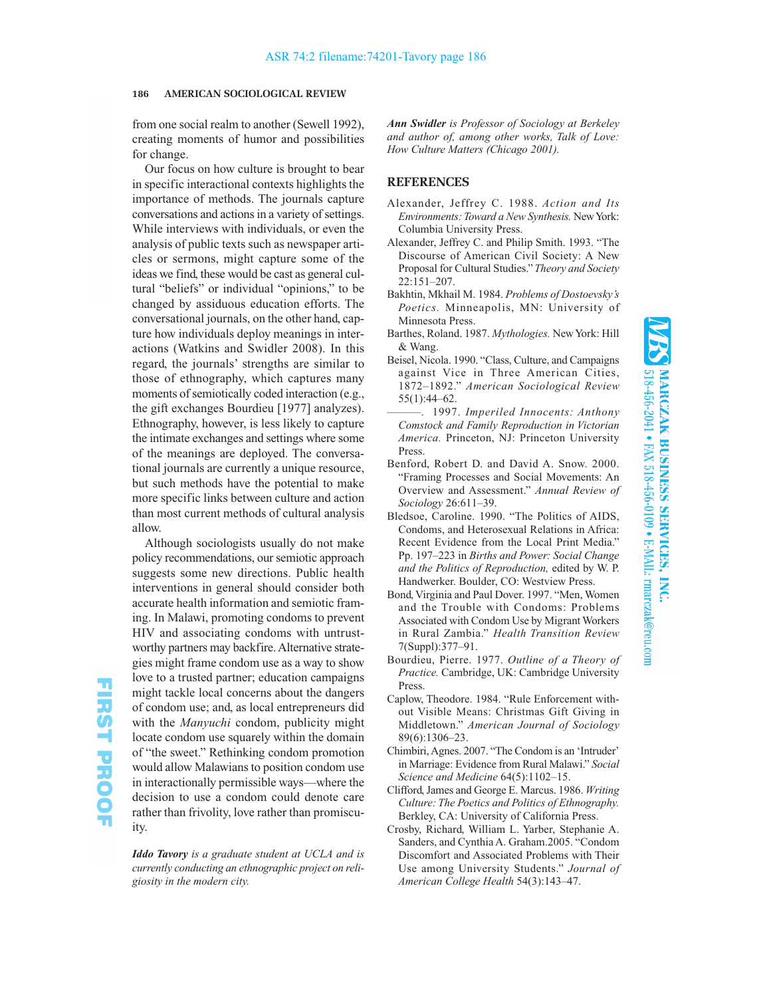from one social realm to another (Sewell 1992), creating moments of humor and possibilities for change.

Our focus on how culture is brought to bear in specific interactional contexts highlights the importance of methods. The journals capture conversations and actions in a variety of settings. While interviews with individuals, or even the analysis of public texts such as newspaper articles or sermons, might capture some of the ideas we find, these would be cast as general cultural "beliefs" or individual "opinions," to be changed by assiduous education efforts. The conversational journals, on the other hand, capture how individuals deploy meanings in interactions (Watkins and Swidler 2008). In this regard, the journals' strengths are similar to those of ethnography, which captures many moments of semiotically coded interaction (e.g., the gift exchanges Bourdieu [1977] analyzes). Ethnography, however, is less likely to capture the intimate exchanges and settings where some of the meanings are deployed. The conversational journals are currently a unique resource, but such methods have the potential to make more specific links between culture and action than most current methods of cultural analysis allow.

Although sociologists usually do not make policy recommendations, our semiotic approach suggests some new directions. Public health interventions in general should consider both accurate health information and semiotic framing. In Malawi, promoting condoms to prevent HIV and associating condoms with untrustworthy partners may backfire. Alternative strategies might frame condom use as a way to show love to a trusted partner; education campaigns might tackle local concerns about the dangers of condom use; and, as local entrepreneurs did with the *Manyuchi* condom, publicity might locate condom use squarely within the domain of "the sweet." Rethinking condom promotion would allow Malawians to position condom use in interactionally permissible ways—where the decision to use a condom could denote care rather than frivolity, love rather than promiscuity.

*Iddo Tavory is a graduate student at UCLA and is currently conducting an ethnographic project on religiosity in the modern city.*

*Ann Swidler is Professor of Sociology at Berkeley and author of, among other works, Talk of Love: How Culture Matters (Chicago 2001).*

#### **REFERENCES**

- Alexander, Jeffrey C. 1988. *Action and Its Environments: Toward a New Synthesis.* New York: Columbia University Press.
- Alexander, Jeffrey C. and Philip Smith. 1993. "The Discourse of American Civil Society: A New Proposal for Cultural Studies."*Theory and Society* 22:151–207.
- Bakhtin, Mkhail M. 1984. *Problems of Dostoevsky's Poetics.* Minneapolis, MN: University of Minnesota Press.
- Barthes, Roland. 1987. *Mythologies.* New York: Hill & Wang.
- Beisel, Nicola. 1990. "Class, Culture, and Campaigns against Vice in Three American Cities, 1872–1892." *American Sociological Review* 55(1):44–62.
- ———. 1997. *Imperiled Innocents: Anthony Comstock and Family Reproduction in Victorian America.* Princeton, NJ: Princeton University Press.
- Benford, Robert D. and David A. Snow. 2000. "Framing Processes and Social Movements: An Overview and Assessment." *Annual Review of Sociology* 26:611–39.

518-456-2041 • FAX 518-456-0109 • E-MAII. rmarczak@reu.com

**MARCZAK BUSINESS SERVICES,** 

. INC.

- Bledsoe, Caroline. 1990. "The Politics of AIDS, Condoms, and Heterosexual Relations in Africa: Recent Evidence from the Local Print Media." Pp. 197–223 in *Births and Power: Social Change and the Politics of Reproduction,* edited by W. P. Handwerker. Boulder, CO: Westview Press.
- Bond, Virginia and Paul Dover. 1997. "Men, Women and the Trouble with Condoms: Problems Associated with Condom Use by Migrant Workers in Rural Zambia." *Health Transition Review* 7(Suppl):377–91.
- Bourdieu, Pierre. 1977. *Outline of a Theory of Practice.* Cambridge, UK: Cambridge University Press.
- Caplow, Theodore. 1984. "Rule Enforcement without Visible Means: Christmas Gift Giving in Middletown." *American Journal of Sociology* 89(6):1306–23.
- Chimbiri, Agnes. 2007. "The Condom is an 'Intruder' in Marriage: Evidence from Rural Malawi." *Social Science and Medicine* 64(5):1102–15.
- Clifford, James and George E. Marcus. 1986. *Writing Culture: The Poetics and Politics of Ethnography.* Berkley, CA: University of California Press.
- Crosby, Richard, William L. Yarber, Stephanie A. Sanders, and Cynthia A. Graham.2005. "Condom Discomfort and Associated Problems with Their Use among University Students." *Journal of American College Health* 54(3):143–47.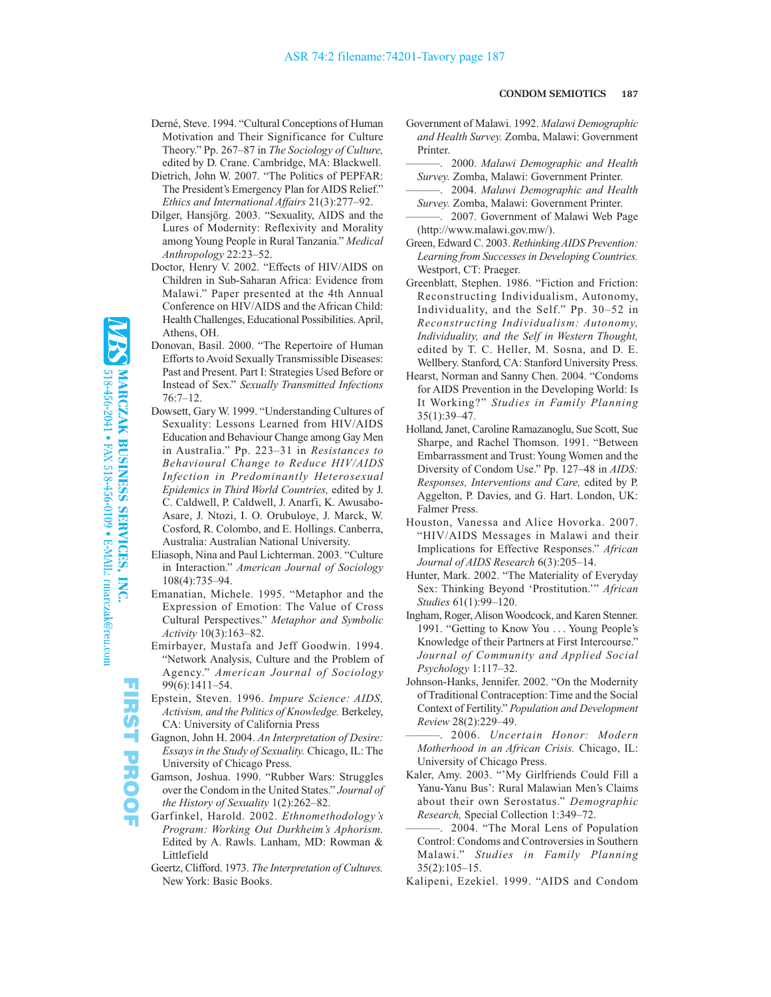- Derné, Steve. 1994. "Cultural Conceptions of Human Motivation and Their Significance for Culture Theory." Pp. 267–87 in *The Sociology of Culture,* edited by D. Crane. Cambridge, MA: Blackwell.
- Dietrich, John W. 2007. "The Politics of PEPFAR: The President's Emergency Plan for AIDS Relief." *Ethics and International Affairs* 21(3):277–92.
- Dilger, Hansjörg. 2003. "Sexuality, AIDS and the Lures of Modernity: Reflexivity and Morality among Young People in Rural Tanzania." *Medical Anthropology* 22:23–52.
- Doctor, Henry V. 2002. "Effects of HIV/AIDS on Children in Sub-Saharan Africa: Evidence from Malawi." Paper presented at the 4th Annual Conference on HIV/AIDS and the African Child: Health Challenges, Educational Possibilities. April, Athens, OH.
- Donovan, Basil. 2000. "The Repertoire of Human Efforts to Avoid Sexually Transmissible Diseases: Past and Present. Part I: Strategies Used Before or Instead of Sex." *Sexually Transmitted Infections* 76:7–12.
- Dowsett, Gary W. 1999. "Understanding Cultures of Sexuality: Lessons Learned from HIV/AIDS Education and Behaviour Change among Gay Men in Australia." Pp. 223–31 in *Resistances to Behavioural Change to Reduce HIV/AIDS Infection in Predominantly Heterosexual Epidemics in Third World Countries,* edited by J. C. Caldwell, P. Caldwell, J. Anarfi, K. Awusabo-Asare, J. Ntozi, I. O. Orubuloye, J. Marck, W. Cosford, R. Colombo, and E. Hollings. Canberra, Australia: Australian National University.
- Eliasoph, Nina and Paul Lichterman. 2003. "Culture in Interaction." *American Journal of Sociology* 108(4):735–94.
- Emanatian, Michele. 1995. "Metaphor and the Expression of Emotion: The Value of Cross Cultural Perspectives." *Metaphor and Symbolic Activity* 10(3):163–82.
- Emirbayer, Mustafa and Jeff Goodwin. 1994. "Network Analysis, Culture and the Problem of Agency." *American Journal of Sociology* 99(6):1411–54.
- Epstein, Steven. 1996. *Impure Science: AIDS, Activism, and the Politics of Knowledge.* Berkeley, CA: University of California Press
- Gagnon, John H. 2004. *An Interpretation of Desire: Essays in the Study of Sexuality.* Chicago, IL: The University of Chicago Press.
- Gamson, Joshua. 1990. "Rubber Wars: Struggles over the Condom in the United States." *Journal of the History of Sexuality* 1(2):262–82.
- Garfinkel, Harold. 2002. *Ethnomethodology's Program: Working Out Durkheim's Aphorism.* Edited by A. Rawls. Lanham, MD: Rowman & Littlefield
- Geertz, Clifford. 1973. *The Interpretation of Cultures.* New York: Basic Books.
- Government of Malawi. 1992. *Malawi Demographic and Health Survey.* Zomba, Malawi: Government Printer.
	- ———. 2000. *Malawi Demographic and Health Survey.* Zomba, Malawi: Government Printer.
	- ———. 2004. *Malawi Demographic and Health Survey.* Zomba, Malawi: Government Printer.
- ———. 2007. Government of Malawi Web Page (http://www.malawi.gov.mw/).
- Green, Edward C. 2003. *Rethinking AIDS Prevention: Learning from Successes in Developing Countries.* Westport, CT: Praeger.
- Greenblatt, Stephen. 1986. "Fiction and Friction: Reconstructing Individualism, Autonomy, Individuality, and the Self." Pp. 30–52 in *Reconstructing Individualism: Autonomy, Individuality, and the Self in Western Thought,* edited by T. C. Heller, M. Sosna, and D. E. Wellbery. Stanford, CA: Stanford University Press.
- Hearst, Norman and Sanny Chen. 2004. "Condoms for AIDS Prevention in the Developing World: Is It Working?" *Studies in Family Planning* 35(1):39–47.
- Holland, Janet, Caroline Ramazanoglu, Sue Scott, Sue Sharpe, and Rachel Thomson. 1991. "Between Embarrassment and Trust: Young Women and the Diversity of Condom Use." Pp. 127–48 in *AIDS: Responses, Interventions and Care,* edited by P. Aggelton, P. Davies, and G. Hart. London, UK: Falmer Press.
- Houston, Vanessa and Alice Hovorka. 2007. "HIV/AIDS Messages in Malawi and their Implications for Effective Responses." *African Journal of AIDS Research* 6(3):205–14.
- Hunter, Mark. 2002. "The Materiality of Everyday Sex: Thinking Beyond 'Prostitution.'" *African Studies* 61(1):99–120.
- Ingham, Roger, Alison Woodcock, and Karen Stenner. 1991. "Getting to Know You ... Young People's Knowledge of their Partners at First Intercourse." *Journal of Community and Applied Social Psychology* 1:117–32.
- Johnson-Hanks, Jennifer. 2002. "On the Modernity of Traditional Contraception: Time and the Social Context of Fertility." *Population and Development Review* 28(2):229–49.
- ———. 2006. *Uncertain Honor: Modern Motherhood in an African Crisis.* Chicago, IL: University of Chicago Press.
- Kaler, Amy. 2003. "'My Girlfriends Could Fill a Yanu-Yanu Bus': Rural Malawian Men's Claims about their own Serostatus." *Demographic Research,* Special Collection 1:349–72.
- . 2004. "The Moral Lens of Population Control: Condoms and Controversies in Southern Malawi." *Studies in Family Planning* 35(2):105–15.
- Kalipeni, Ezekiel. 1999. "AIDS and Condom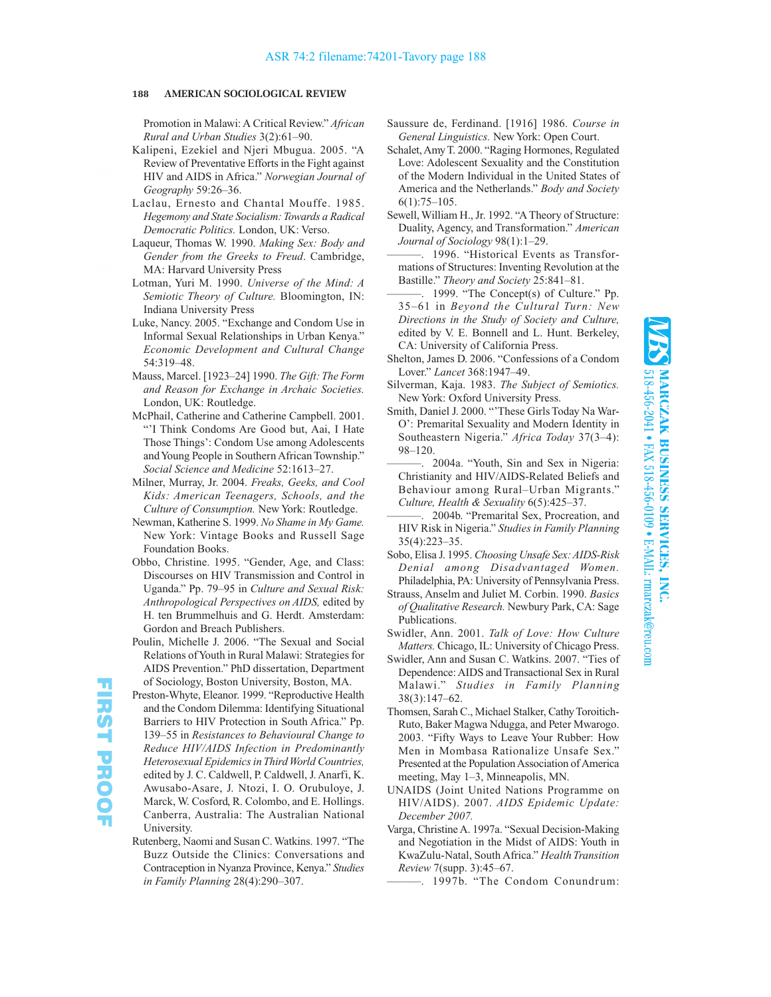Promotion in Malawi: A Critical Review." *African Rural and Urban Studies* 3(2):61–90.

- Kalipeni, Ezekiel and Njeri Mbugua. 2005. "A Review of Preventative Efforts in the Fight against HIV and AIDS in Africa." *Norwegian Journal of Geography* 59:26–36.
- Laclau, Ernesto and Chantal Mouffe. 1985. *Hegemony and State Socialism: Towards a Radical Democratic Politics.* London, UK: Verso.
- Laqueur, Thomas W. 1990. *Making Sex: Body and Gender from the Greeks to Freud*. Cambridge, MA: Harvard University Press
- Lotman, Yuri M. 1990. *Universe of the Mind: A Semiotic Theory of Culture.* Bloomington, IN: Indiana University Press
- Luke, Nancy. 2005. "Exchange and Condom Use in Informal Sexual Relationships in Urban Kenya." *Economic Development and Cultural Change* 54:319–48.
- Mauss, Marcel. [1923–24] 1990. *The Gift: The Form and Reason for Exchange in Archaic Societies.* London, UK: Routledge.
- McPhail, Catherine and Catherine Campbell. 2001. "'I Think Condoms Are Good but, Aai, I Hate Those Things': Condom Use among Adolescents and Young People in Southern African Township." *Social Science and Medicine* 52:1613–27.
- Milner, Murray, Jr. 2004. *Freaks, Geeks, and Cool Kids: American Teenagers, Schools, and the Culture of Consumption.* New York: Routledge.
- Newman, Katherine S. 1999. *No Shame in My Game.* New York: Vintage Books and Russell Sage Foundation Books.
- Obbo, Christine. 1995. "Gender, Age, and Class: Discourses on HIV Transmission and Control in Uganda." Pp. 79–95 in *Culture and Sexual Risk: Anthropological Perspectives on AIDS,* edited by H. ten Brummelhuis and G. Herdt. Amsterdam: Gordon and Breach Publishers.
- Poulin, Michelle J. 2006. "The Sexual and Social Relations of Youth in Rural Malawi: Strategies for AIDS Prevention." PhD dissertation, Department of Sociology, Boston University, Boston, MA.
- Preston-Whyte, Eleanor. 1999. "Reproductive Health and the Condom Dilemma: Identifying Situational Barriers to HIV Protection in South Africa." Pp. 139–55 in *Resistances to Behavioural Change to Reduce HIV/AIDS Infection in Predominantly Heterosexual Epidemics in Third World Countries,* edited by J. C. Caldwell, P. Caldwell, J. Anarfi, K. Awusabo-Asare, J. Ntozi, I. O. Orubuloye, J. Marck, W. Cosford, R. Colombo, and E. Hollings. Canberra, Australia: The Australian National University.
- Rutenberg, Naomi and Susan C. Watkins. 1997. "The Buzz Outside the Clinics: Conversations and Contraception in Nyanza Province, Kenya." *Studies in Family Planning* 28(4):290–307.
- Saussure de, Ferdinand. [1916] 1986. *Course in General Linguistics.* New York: Open Court.
- Schalet, Amy T. 2000. "Raging Hormones, Regulated Love: Adolescent Sexuality and the Constitution of the Modern Individual in the United States of America and the Netherlands." *Body and Society* 6(1):75–105.
- Sewell, William H., Jr. 1992. "A Theory of Structure: Duality, Agency, and Transformation." *American Journal of Sociology* 98(1):1–29.
- -. 1996. "Historical Events as Transformations of Structures: Inventing Revolution at the Bastille." *Theory and Society* 25:841–81.
- ———. 1999. "The Concept(s) of Culture." Pp. 35–61 in *Beyond the Cultural Turn: New Directions in the Study of Society and Culture,* edited by V. E. Bonnell and L. Hunt. Berkeley, CA: University of California Press.
- Shelton, James D. 2006. "Confessions of a Condom Lover." *Lancet* 368:1947–49.
- Silverman, Kaja. 1983. *The Subject of Semiotics.* New York: Oxford University Press.
- Smith, Daniel J. 2000. "'These Girls Today Na War-O': Premarital Sexuality and Modern Identity in Southeastern Nigeria." *Africa Today* 37(3–4): 98–120.
- 2004a. "Youth, Sin and Sex in Nigeria: Christianity and HIV/AIDS-Related Beliefs and Behaviour among Rural–Urban Migrants." *Culture, Health & Sexuality* 6(5):425–37.
- ———. 2004b. "Premarital Sex, Procreation, and HIV Risk in Nigeria." *Studies in Family Planning* 35(4):223–35.
- Sobo, Elisa J. 1995. *Choosing Unsafe Sex: AIDS-Risk Denial among Disadvantaged Women.* Philadelphia, PA: University of Pennsylvania Press.
- Strauss, Anselm and Juliet M. Corbin. 1990. *Basics of Qualitative Research.* Newbury Park, CA: Sage Publications.
- Swidler, Ann. 2001. *Talk of Love: How Culture Matters.* Chicago, IL: University of Chicago Press.
- Swidler, Ann and Susan C. Watkins. 2007. "Ties of Dependence: AIDS and Transactional Sex in Rural Malawi." *Studies in Family Planning* 38(3):147–62.
- Thomsen, Sarah C., Michael Stalker, Cathy Toroitich-Ruto, Baker Magwa Ndugga, and Peter Mwarogo. 2003. "Fifty Ways to Leave Your Rubber: How Men in Mombasa Rationalize Unsafe Sex." Presented at the Population Association of America meeting, May 1–3, Minneapolis, MN.
- UNAIDS (Joint United Nations Programme on HIV/AIDS). 2007. *AIDS Epidemic Update: December 2007.*
- Varga, Christine A. 1997a. "Sexual Decision-Making and Negotiation in the Midst of AIDS: Youth in KwaZulu-Natal, South Africa." *Health Transition Review* 7(supp. 3):45–67.

<sup>———.</sup> 1997b. "The Condom Conundrum: